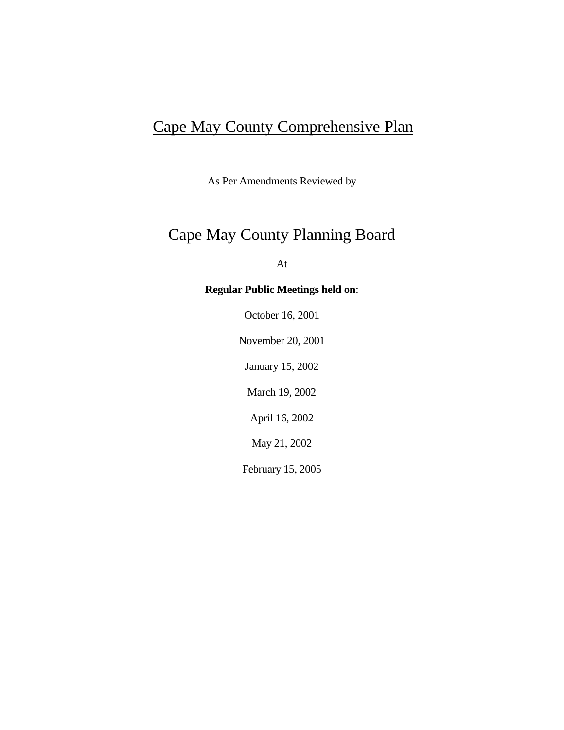# Cape May County Comprehensive Plan

As Per Amendments Reviewed by

# Cape May County Planning Board

At

## **Regular Public Meetings held on**:

October 16, 2001

November 20, 2001

January 15, 2002

March 19, 2002

April 16, 2002

May 21, 2002

February 15, 2005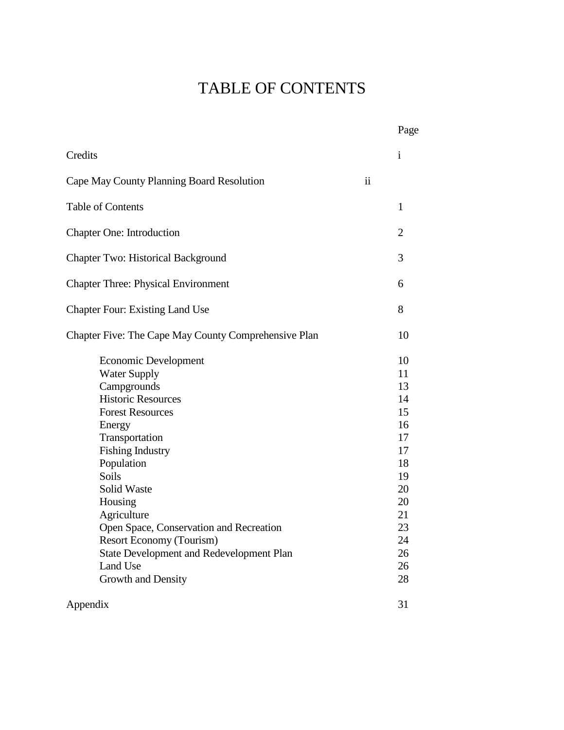# TABLE OF CONTENTS

|                                                                                                                                                                                                                                                                                                                                                                                               |                          | Page                                                                                               |
|-----------------------------------------------------------------------------------------------------------------------------------------------------------------------------------------------------------------------------------------------------------------------------------------------------------------------------------------------------------------------------------------------|--------------------------|----------------------------------------------------------------------------------------------------|
| Credits                                                                                                                                                                                                                                                                                                                                                                                       |                          | $\mathbf{i}$                                                                                       |
| Cape May County Planning Board Resolution                                                                                                                                                                                                                                                                                                                                                     | $\overline{\mathbf{ii}}$ |                                                                                                    |
| <b>Table of Contents</b>                                                                                                                                                                                                                                                                                                                                                                      |                          | 1                                                                                                  |
| <b>Chapter One: Introduction</b>                                                                                                                                                                                                                                                                                                                                                              |                          | $\overline{2}$                                                                                     |
| <b>Chapter Two: Historical Background</b>                                                                                                                                                                                                                                                                                                                                                     |                          | 3                                                                                                  |
| <b>Chapter Three: Physical Environment</b>                                                                                                                                                                                                                                                                                                                                                    |                          | 6                                                                                                  |
| <b>Chapter Four: Existing Land Use</b>                                                                                                                                                                                                                                                                                                                                                        |                          | 8                                                                                                  |
| Chapter Five: The Cape May County Comprehensive Plan                                                                                                                                                                                                                                                                                                                                          |                          | 10                                                                                                 |
| <b>Economic Development</b><br><b>Water Supply</b><br>Campgrounds<br><b>Historic Resources</b><br><b>Forest Resources</b><br>Energy<br>Transportation<br><b>Fishing Industry</b><br>Population<br>Soils<br><b>Solid Waste</b><br>Housing<br>Agriculture<br>Open Space, Conservation and Recreation<br><b>Resort Economy (Tourism)</b><br>State Development and Redevelopment Plan<br>Land Use |                          | 10<br>11<br>13<br>14<br>15<br>16<br>17<br>17<br>18<br>19<br>20<br>20<br>21<br>23<br>24<br>26<br>26 |
| Growth and Density                                                                                                                                                                                                                                                                                                                                                                            |                          | 28                                                                                                 |
| Appendix                                                                                                                                                                                                                                                                                                                                                                                      |                          | 31                                                                                                 |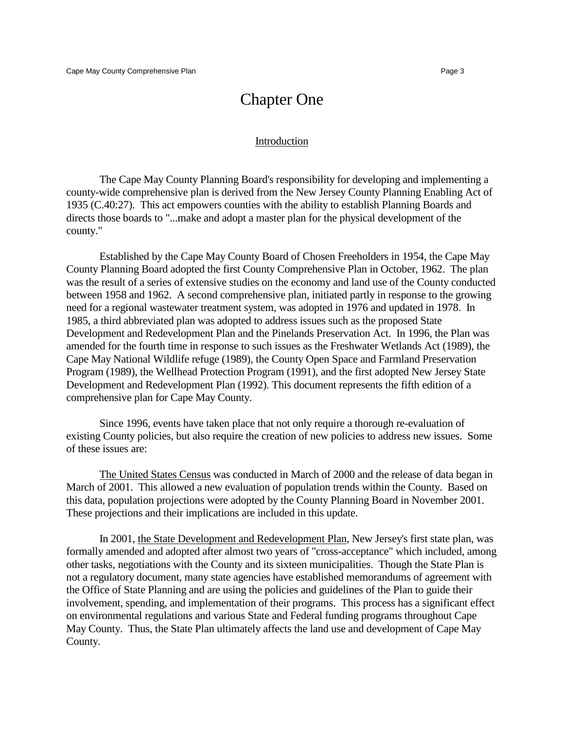## Chapter One

#### Introduction

The Cape May County Planning Board's responsibility for developing and implementing a county-wide comprehensive plan is derived from the New Jersey County Planning Enabling Act of 1935 (C.40:27). This act empowers counties with the ability to establish Planning Boards and directs those boards to "...make and adopt a master plan for the physical development of the county."

Established by the Cape May County Board of Chosen Freeholders in 1954, the Cape May County Planning Board adopted the first County Comprehensive Plan in October, 1962. The plan was the result of a series of extensive studies on the economy and land use of the County conducted between 1958 and 1962. A second comprehensive plan, initiated partly in response to the growing need for a regional wastewater treatment system, was adopted in 1976 and updated in 1978. In 1985, a third abbreviated plan was adopted to address issues such as the proposed State Development and Redevelopment Plan and the Pinelands Preservation Act. In 1996, the Plan was amended for the fourth time in response to such issues as the Freshwater Wetlands Act (1989), the Cape May National Wildlife refuge (1989), the County Open Space and Farmland Preservation Program (1989), the Wellhead Protection Program (1991), and the first adopted New Jersey State Development and Redevelopment Plan (1992). This document represents the fifth edition of a comprehensive plan for Cape May County.

Since 1996, events have taken place that not only require a thorough re-evaluation of existing County policies, but also require the creation of new policies to address new issues. Some of these issues are:

The United States Census was conducted in March of 2000 and the release of data began in March of 2001. This allowed a new evaluation of population trends within the County. Based on this data, population projections were adopted by the County Planning Board in November 2001. These projections and their implications are included in this update.

In 2001, the State Development and Redevelopment Plan, New Jersey's first state plan, was formally amended and adopted after almost two years of "cross-acceptance" which included, among other tasks, negotiations with the County and its sixteen municipalities. Though the State Plan is not a regulatory document, many state agencies have established memorandums of agreement with the Office of State Planning and are using the policies and guidelines of the Plan to guide their involvement, spending, and implementation of their programs. This process has a significant effect on environmental regulations and various State and Federal funding programs throughout Cape May County. Thus, the State Plan ultimately affects the land use and development of Cape May County.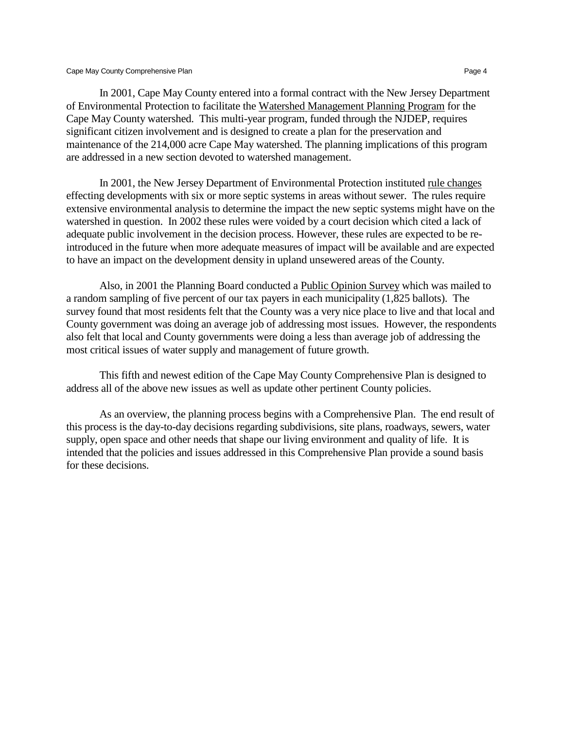In 2001, Cape May County entered into a formal contract with the New Jersey Department of Environmental Protection to facilitate the Watershed Management Planning Program for the Cape May County watershed. This multi-year program, funded through the NJDEP, requires significant citizen involvement and is designed to create a plan for the preservation and maintenance of the 214,000 acre Cape May watershed. The planning implications of this program are addressed in a new section devoted to watershed management.

In 2001, the New Jersey Department of Environmental Protection instituted rule changes effecting developments with six or more septic systems in areas without sewer. The rules require extensive environmental analysis to determine the impact the new septic systems might have on the watershed in question. In 2002 these rules were voided by a court decision which cited a lack of adequate public involvement in the decision process. However, these rules are expected to be reintroduced in the future when more adequate measures of impact will be available and are expected to have an impact on the development density in upland unsewered areas of the County.

Also, in 2001 the Planning Board conducted a Public Opinion Survey which was mailed to a random sampling of five percent of our tax payers in each municipality (1,825 ballots). The survey found that most residents felt that the County was a very nice place to live and that local and County government was doing an average job of addressing most issues. However, the respondents also felt that local and County governments were doing a less than average job of addressing the most critical issues of water supply and management of future growth.

This fifth and newest edition of the Cape May County Comprehensive Plan is designed to address all of the above new issues as well as update other pertinent County policies.

As an overview, the planning process begins with a Comprehensive Plan. The end result of this process is the day-to-day decisions regarding subdivisions, site plans, roadways, sewers, water supply, open space and other needs that shape our living environment and quality of life. It is intended that the policies and issues addressed in this Comprehensive Plan provide a sound basis for these decisions.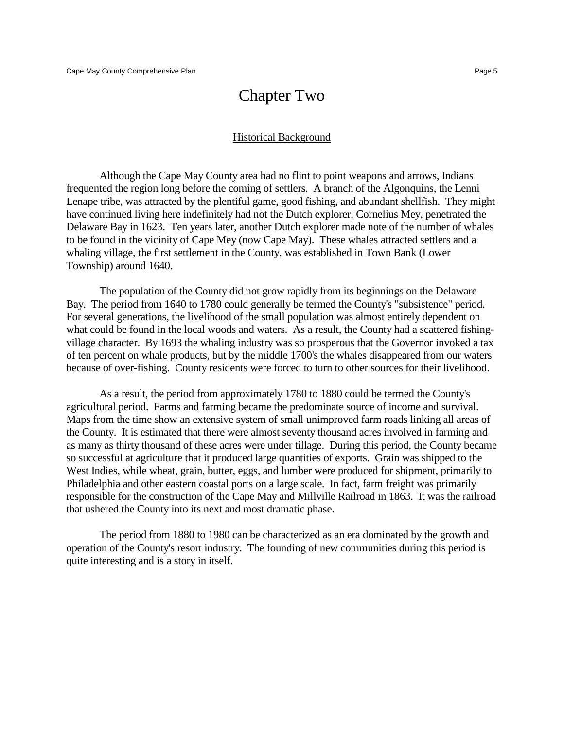#### Historical Background

Although the Cape May County area had no flint to point weapons and arrows, Indians frequented the region long before the coming of settlers. A branch of the Algonquins, the Lenni Lenape tribe, was attracted by the plentiful game, good fishing, and abundant shellfish. They might have continued living here indefinitely had not the Dutch explorer, Cornelius Mey, penetrated the Delaware Bay in 1623. Ten years later, another Dutch explorer made note of the number of whales to be found in the vicinity of Cape Mey (now Cape May). These whales attracted settlers and a whaling village, the first settlement in the County, was established in Town Bank (Lower Township) around 1640.

The population of the County did not grow rapidly from its beginnings on the Delaware Bay. The period from 1640 to 1780 could generally be termed the County's "subsistence" period. For several generations, the livelihood of the small population was almost entirely dependent on what could be found in the local woods and waters. As a result, the County had a scattered fishingvillage character. By 1693 the whaling industry was so prosperous that the Governor invoked a tax of ten percent on whale products, but by the middle 1700's the whales disappeared from our waters because of over-fishing. County residents were forced to turn to other sources for their livelihood.

As a result, the period from approximately 1780 to 1880 could be termed the County's agricultural period. Farms and farming became the predominate source of income and survival. Maps from the time show an extensive system of small unimproved farm roads linking all areas of the County. It is estimated that there were almost seventy thousand acres involved in farming and as many as thirty thousand of these acres were under tillage. During this period, the County became so successful at agriculture that it produced large quantities of exports. Grain was shipped to the West Indies, while wheat, grain, butter, eggs, and lumber were produced for shipment, primarily to Philadelphia and other eastern coastal ports on a large scale. In fact, farm freight was primarily responsible for the construction of the Cape May and Millville Railroad in 1863. It was the railroad that ushered the County into its next and most dramatic phase.

The period from 1880 to 1980 can be characterized as an era dominated by the growth and operation of the County's resort industry. The founding of new communities during this period is quite interesting and is a story in itself.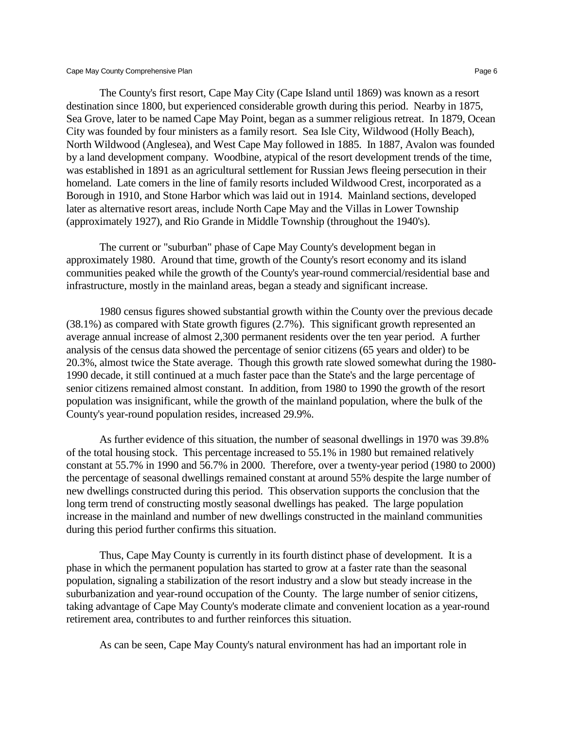The County's first resort, Cape May City (Cape Island until 1869) was known as a resort destination since 1800, but experienced considerable growth during this period. Nearby in 1875, Sea Grove, later to be named Cape May Point, began as a summer religious retreat. In 1879, Ocean City was founded by four ministers as a family resort. Sea Isle City, Wildwood (Holly Beach), North Wildwood (Anglesea), and West Cape May followed in 1885. In 1887, Avalon was founded by a land development company. Woodbine, atypical of the resort development trends of the time, was established in 1891 as an agricultural settlement for Russian Jews fleeing persecution in their homeland. Late comers in the line of family resorts included Wildwood Crest, incorporated as a Borough in 1910, and Stone Harbor which was laid out in 1914. Mainland sections, developed later as alternative resort areas, include North Cape May and the Villas in Lower Township (approximately 1927), and Rio Grande in Middle Township (throughout the 1940's).

The current or "suburban" phase of Cape May County's development began in approximately 1980. Around that time, growth of the County's resort economy and its island communities peaked while the growth of the County's year-round commercial/residential base and infrastructure, mostly in the mainland areas, began a steady and significant increase.

1980 census figures showed substantial growth within the County over the previous decade (38.1%) as compared with State growth figures (2.7%). This significant growth represented an average annual increase of almost 2,300 permanent residents over the ten year period. A further analysis of the census data showed the percentage of senior citizens (65 years and older) to be 20.3%, almost twice the State average. Though this growth rate slowed somewhat during the 1980- 1990 decade, it still continued at a much faster pace than the State's and the large percentage of senior citizens remained almost constant. In addition, from 1980 to 1990 the growth of the resort population was insignificant, while the growth of the mainland population, where the bulk of the County's year-round population resides, increased 29.9%.

As further evidence of this situation, the number of seasonal dwellings in 1970 was 39.8% of the total housing stock. This percentage increased to 55.1% in 1980 but remained relatively constant at 55.7% in 1990 and 56.7% in 2000. Therefore, over a twenty-year period (1980 to 2000) the percentage of seasonal dwellings remained constant at around 55% despite the large number of new dwellings constructed during this period. This observation supports the conclusion that the long term trend of constructing mostly seasonal dwellings has peaked. The large population increase in the mainland and number of new dwellings constructed in the mainland communities during this period further confirms this situation.

Thus, Cape May County is currently in its fourth distinct phase of development. It is a phase in which the permanent population has started to grow at a faster rate than the seasonal population, signaling a stabilization of the resort industry and a slow but steady increase in the suburbanization and year-round occupation of the County. The large number of senior citizens, taking advantage of Cape May County's moderate climate and convenient location as a year-round retirement area, contributes to and further reinforces this situation.

As can be seen, Cape May County's natural environment has had an important role in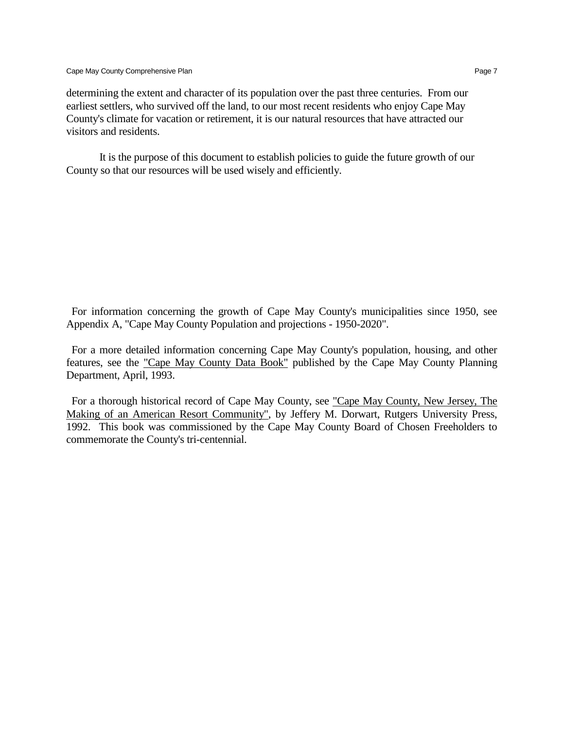determining the extent and character of its population over the past three centuries. From our earliest settlers, who survived off the land, to our most recent residents who enjoy Cape May County's climate for vacation or retirement, it is our natural resources that have attracted our visitors and residents.

It is the purpose of this document to establish policies to guide the future growth of our County so that our resources will be used wisely and efficiently.

 For information concerning the growth of Cape May County's municipalities since 1950, see Appendix A, "Cape May County Population and projections - 1950-2020".

 For a more detailed information concerning Cape May County's population, housing, and other features, see the "Cape May County Data Book" published by the Cape May County Planning Department, April, 1993.

 For a thorough historical record of Cape May County, see "Cape May County, New Jersey, The Making of an American Resort Community", by Jeffery M. Dorwart, Rutgers University Press, 1992. This book was commissioned by the Cape May County Board of Chosen Freeholders to commemorate the County's tri-centennial.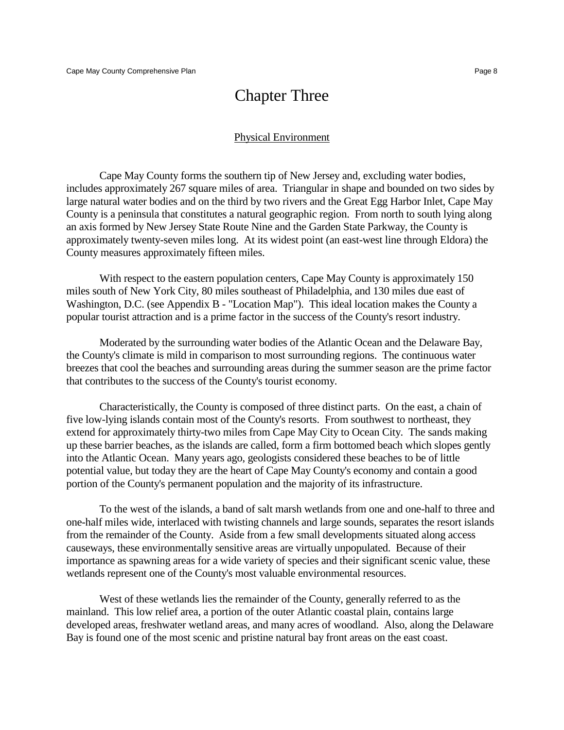# Chapter Three

## Physical Environment

Cape May County forms the southern tip of New Jersey and, excluding water bodies, includes approximately 267 square miles of area. Triangular in shape and bounded on two sides by large natural water bodies and on the third by two rivers and the Great Egg Harbor Inlet, Cape May County is a peninsula that constitutes a natural geographic region. From north to south lying along an axis formed by New Jersey State Route Nine and the Garden State Parkway, the County is approximately twenty-seven miles long. At its widest point (an east-west line through Eldora) the County measures approximately fifteen miles.

With respect to the eastern population centers, Cape May County is approximately 150 miles south of New York City, 80 miles southeast of Philadelphia, and 130 miles due east of Washington, D.C. (see Appendix B - "Location Map"). This ideal location makes the County a popular tourist attraction and is a prime factor in the success of the County's resort industry.

Moderated by the surrounding water bodies of the Atlantic Ocean and the Delaware Bay, the County's climate is mild in comparison to most surrounding regions. The continuous water breezes that cool the beaches and surrounding areas during the summer season are the prime factor that contributes to the success of the County's tourist economy.

Characteristically, the County is composed of three distinct parts. On the east, a chain of five low-lying islands contain most of the County's resorts. From southwest to northeast, they extend for approximately thirty-two miles from Cape May City to Ocean City. The sands making up these barrier beaches, as the islands are called, form a firm bottomed beach which slopes gently into the Atlantic Ocean. Many years ago, geologists considered these beaches to be of little potential value, but today they are the heart of Cape May County's economy and contain a good portion of the County's permanent population and the majority of its infrastructure.

To the west of the islands, a band of salt marsh wetlands from one and one-half to three and one-half miles wide, interlaced with twisting channels and large sounds, separates the resort islands from the remainder of the County. Aside from a few small developments situated along access causeways, these environmentally sensitive areas are virtually unpopulated. Because of their importance as spawning areas for a wide variety of species and their significant scenic value, these wetlands represent one of the County's most valuable environmental resources.

West of these wetlands lies the remainder of the County, generally referred to as the mainland. This low relief area, a portion of the outer Atlantic coastal plain, contains large developed areas, freshwater wetland areas, and many acres of woodland. Also, along the Delaware Bay is found one of the most scenic and pristine natural bay front areas on the east coast.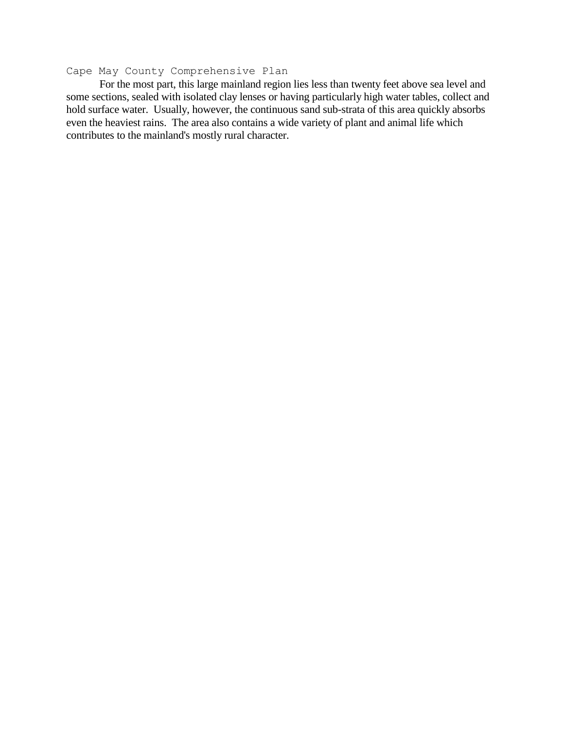## Cape May County Comprehensive Plan

For the most part, this large mainland region lies less than twenty feet above sea level and some sections, sealed with isolated clay lenses or having particularly high water tables, collect and hold surface water. Usually, however, the continuous sand sub-strata of this area quickly absorbs even the heaviest rains. The area also contains a wide variety of plant and animal life which contributes to the mainland's mostly rural character.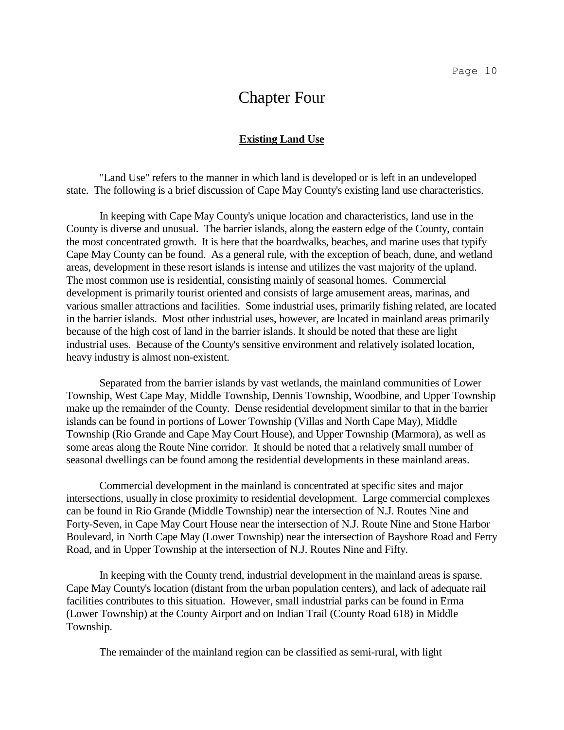## Chapter Four

## **Existing Land Use**

"Land Use" refers to the manner in which land is developed or is left in an undeveloped state. The following is a brief discussion of Cape May County's existing land use characteristics.

In keeping with Cape May County's unique location and characteristics, land use in the County is diverse and unusual. The barrier islands, along the eastern edge of the County, contain the most concentrated growth. It is here that the boardwalks, beaches, and marine uses that typify Cape May County can be found. As a general rule, with the exception of beach, dune, and wetland areas, development in these resort islands is intense and utilizes the vast majority of the upland. The most common use is residential, consisting mainly of seasonal homes. Commercial development is primarily tourist oriented and consists of large amusement areas, marinas, and various smaller attractions and facilities. Some industrial uses, primarily fishing related, are located in the barrier islands. Most other industrial uses, however, are located in mainland areas primarily because of the high cost of land in the barrier islands. It should be noted that these are light industrial uses. Because of the County's sensitive environment and relatively isolated location, heavy industry is almost non-existent.

Separated from the barrier islands by vast wetlands, the mainland communities of Lower Township, West Cape May, Middle Township, Dennis Township, Woodbine, and Upper Township make up the remainder of the County. Dense residential development similar to that in the barrier islands can be found in portions of Lower Township (Villas and North Cape May), Middle Township (Rio Grande and Cape May Court House), and Upper Township (Marmora), as well as some areas along the Route Nine corridor. It should be noted that a relatively small number of seasonal dwellings can be found among the residential developments in these mainland areas.

Commercial development in the mainland is concentrated at specific sites and major intersections, usually in close proximity to residential development. Large commercial complexes can be found in Rio Grande (Middle Township) near the intersection of N.J. Routes Nine and Forty-Seven, in Cape May Court House near the intersection of N.J. Route Nine and Stone Harbor Boulevard, in North Cape May (Lower Township) near the intersection of Bayshore Road and Ferry Road, and in Upper Township at the intersection of N.J. Routes Nine and Fifty.

In keeping with the County trend, industrial development in the mainland areas is sparse. Cape May County's location (distant from the urban population centers), and lack of adequate rail facilities contributes to this situation. However, small industrial parks can be found in Erma (Lower Township) at the County Airport and on Indian Trail (County Road 618) in Middle Township.

The remainder of the mainland region can be classified as semi-rural, with light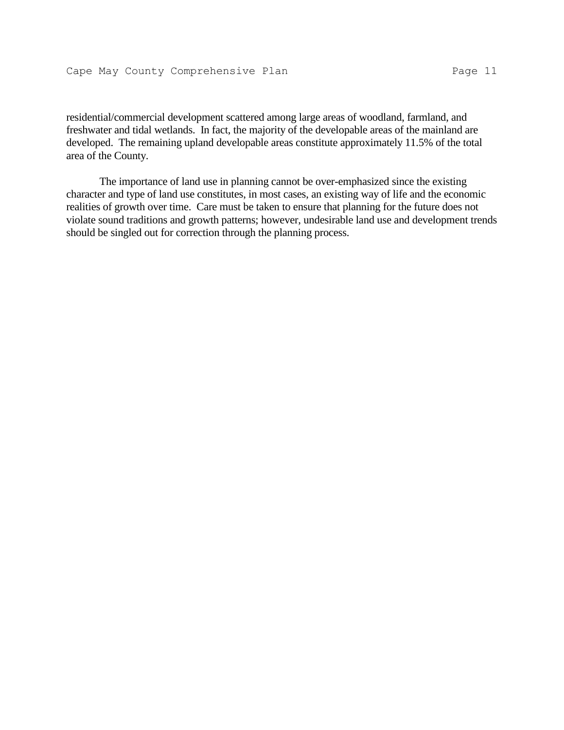residential/commercial development scattered among large areas of woodland, farmland, and freshwater and tidal wetlands. In fact, the majority of the developable areas of the mainland are developed. The remaining upland developable areas constitute approximately 11.5% of the total area of the County.

The importance of land use in planning cannot be over-emphasized since the existing character and type of land use constitutes, in most cases, an existing way of life and the economic realities of growth over time. Care must be taken to ensure that planning for the future does not violate sound traditions and growth patterns; however, undesirable land use and development trends should be singled out for correction through the planning process.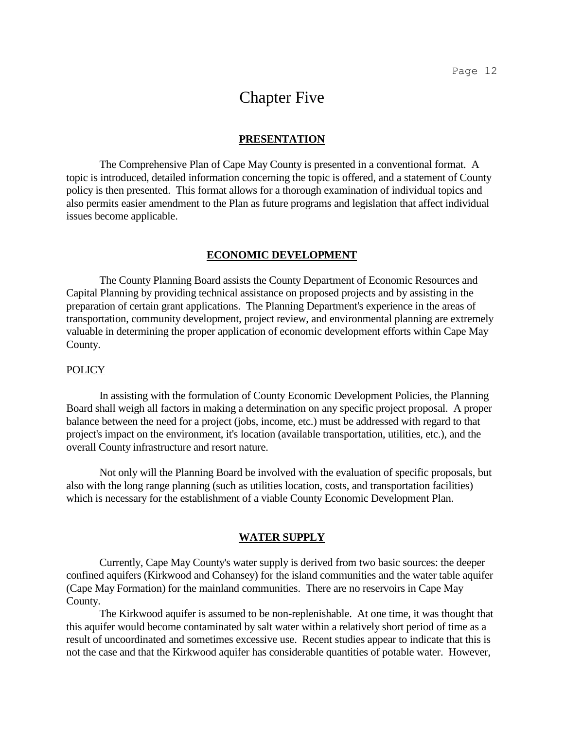## Chapter Five

## **PRESENTATION**

The Comprehensive Plan of Cape May County is presented in a conventional format. A topic is introduced, detailed information concerning the topic is offered, and a statement of County policy is then presented. This format allows for a thorough examination of individual topics and also permits easier amendment to the Plan as future programs and legislation that affect individual issues become applicable.

#### **ECONOMIC DEVELOPMENT**

The County Planning Board assists the County Department of Economic Resources and Capital Planning by providing technical assistance on proposed projects and by assisting in the preparation of certain grant applications. The Planning Department's experience in the areas of transportation, community development, project review, and environmental planning are extremely valuable in determining the proper application of economic development efforts within Cape May County.

#### **POLICY**

In assisting with the formulation of County Economic Development Policies, the Planning Board shall weigh all factors in making a determination on any specific project proposal. A proper balance between the need for a project (jobs, income, etc.) must be addressed with regard to that project's impact on the environment, it's location (available transportation, utilities, etc.), and the overall County infrastructure and resort nature.

Not only will the Planning Board be involved with the evaluation of specific proposals, but also with the long range planning (such as utilities location, costs, and transportation facilities) which is necessary for the establishment of a viable County Economic Development Plan.

#### **WATER SUPPLY**

Currently, Cape May County's water supply is derived from two basic sources: the deeper confined aquifers (Kirkwood and Cohansey) for the island communities and the water table aquifer (Cape May Formation) for the mainland communities. There are no reservoirs in Cape May County.

The Kirkwood aquifer is assumed to be non-replenishable. At one time, it was thought that this aquifer would become contaminated by salt water within a relatively short period of time as a result of uncoordinated and sometimes excessive use. Recent studies appear to indicate that this is not the case and that the Kirkwood aquifer has considerable quantities of potable water. However,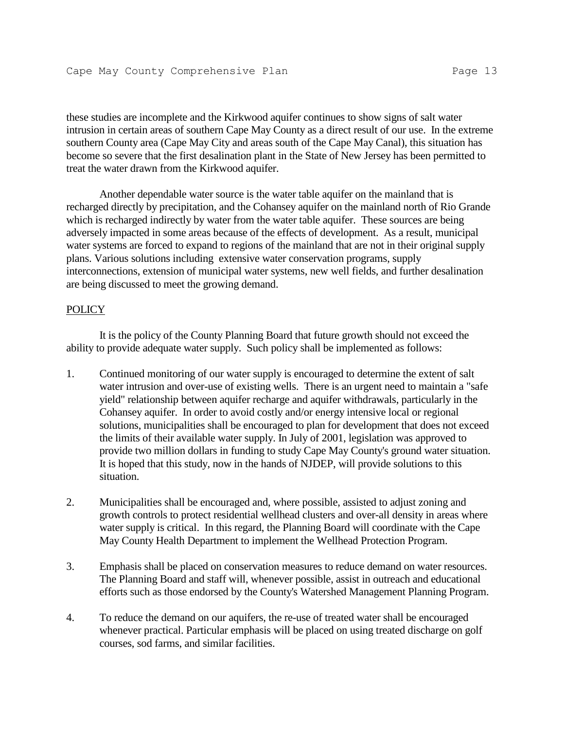these studies are incomplete and the Kirkwood aquifer continues to show signs of salt water intrusion in certain areas of southern Cape May County as a direct result of our use. In the extreme southern County area (Cape May City and areas south of the Cape May Canal), this situation has become so severe that the first desalination plant in the State of New Jersey has been permitted to treat the water drawn from the Kirkwood aquifer.

Another dependable water source is the water table aquifer on the mainland that is recharged directly by precipitation, and the Cohansey aquifer on the mainland north of Rio Grande which is recharged indirectly by water from the water table aquifer. These sources are being adversely impacted in some areas because of the effects of development. As a result, municipal water systems are forced to expand to regions of the mainland that are not in their original supply plans. Various solutions including extensive water conservation programs, supply interconnections, extension of municipal water systems, new well fields, and further desalination are being discussed to meet the growing demand.

## **POLICY**

It is the policy of the County Planning Board that future growth should not exceed the ability to provide adequate water supply. Such policy shall be implemented as follows:

- 1. Continued monitoring of our water supply is encouraged to determine the extent of salt water intrusion and over-use of existing wells. There is an urgent need to maintain a "safe yield" relationship between aquifer recharge and aquifer withdrawals, particularly in the Cohansey aquifer. In order to avoid costly and/or energy intensive local or regional solutions, municipalities shall be encouraged to plan for development that does not exceed the limits of their available water supply. In July of 2001, legislation was approved to provide two million dollars in funding to study Cape May County's ground water situation. It is hoped that this study, now in the hands of NJDEP, will provide solutions to this situation.
- 2. Municipalities shall be encouraged and, where possible, assisted to adjust zoning and growth controls to protect residential wellhead clusters and over-all density in areas where water supply is critical. In this regard, the Planning Board will coordinate with the Cape May County Health Department to implement the Wellhead Protection Program.
- 3. Emphasis shall be placed on conservation measures to reduce demand on water resources. The Planning Board and staff will, whenever possible, assist in outreach and educational efforts such as those endorsed by the County's Watershed Management Planning Program.
- 4. To reduce the demand on our aquifers, the re-use of treated water shall be encouraged whenever practical. Particular emphasis will be placed on using treated discharge on golf courses, sod farms, and similar facilities.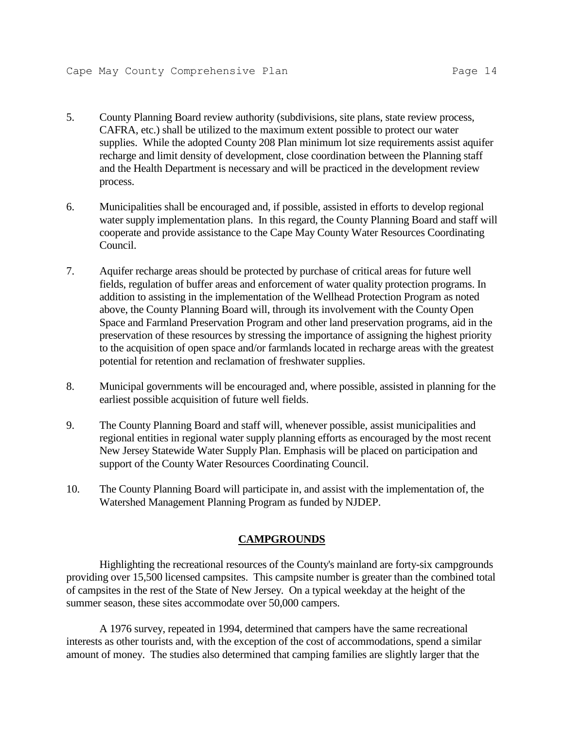- 5. County Planning Board review authority (subdivisions, site plans, state review process, CAFRA, etc.) shall be utilized to the maximum extent possible to protect our water supplies. While the adopted County 208 Plan minimum lot size requirements assist aquifer recharge and limit density of development, close coordination between the Planning staff and the Health Department is necessary and will be practiced in the development review process.
- 6. Municipalities shall be encouraged and, if possible, assisted in efforts to develop regional water supply implementation plans. In this regard, the County Planning Board and staff will cooperate and provide assistance to the Cape May County Water Resources Coordinating Council.
- 7. Aquifer recharge areas should be protected by purchase of critical areas for future well fields, regulation of buffer areas and enforcement of water quality protection programs. In addition to assisting in the implementation of the Wellhead Protection Program as noted above, the County Planning Board will, through its involvement with the County Open Space and Farmland Preservation Program and other land preservation programs, aid in the preservation of these resources by stressing the importance of assigning the highest priority to the acquisition of open space and/or farmlands located in recharge areas with the greatest potential for retention and reclamation of freshwater supplies.
- 8. Municipal governments will be encouraged and, where possible, assisted in planning for the earliest possible acquisition of future well fields.
- 9. The County Planning Board and staff will, whenever possible, assist municipalities and regional entities in regional water supply planning efforts as encouraged by the most recent New Jersey Statewide Water Supply Plan. Emphasis will be placed on participation and support of the County Water Resources Coordinating Council.
- 10. The County Planning Board will participate in, and assist with the implementation of, the Watershed Management Planning Program as funded by NJDEP.

## **CAMPGROUNDS**

Highlighting the recreational resources of the County's mainland are forty-six campgrounds providing over 15,500 licensed campsites. This campsite number is greater than the combined total of campsites in the rest of the State of New Jersey. On a typical weekday at the height of the summer season, these sites accommodate over 50,000 campers.

A 1976 survey, repeated in 1994, determined that campers have the same recreational interests as other tourists and, with the exception of the cost of accommodations, spend a similar amount of money. The studies also determined that camping families are slightly larger that the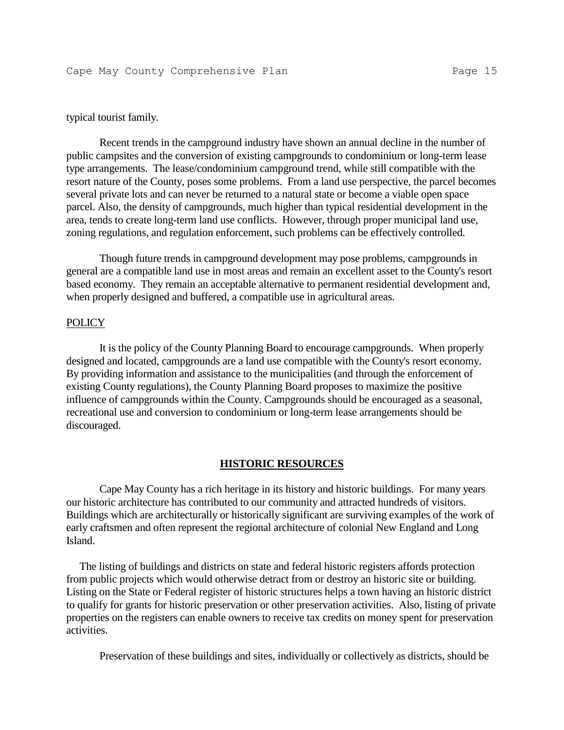## typical tourist family.

Recent trends in the campground industry have shown an annual decline in the number of public campsites and the conversion of existing campgrounds to condominium or long-term lease type arrangements. The lease/condominium campground trend, while still compatible with the resort nature of the County, poses some problems. From a land use perspective, the parcel becomes several private lots and can never be returned to a natural state or become a viable open space parcel. Also, the density of campgrounds, much higher than typical residential development in the area, tends to create long-term land use conflicts. However, through proper municipal land use, zoning regulations, and regulation enforcement, such problems can be effectively controlled.

Though future trends in campground development may pose problems, campgrounds in general are a compatible land use in most areas and remain an excellent asset to the County's resort based economy. They remain an acceptable alternative to permanent residential development and, when properly designed and buffered, a compatible use in agricultural areas.

#### **POLICY**

It is the policy of the County Planning Board to encourage campgrounds. When properly designed and located, campgrounds are a land use compatible with the County's resort economy. By providing information and assistance to the municipalities (and through the enforcement of existing County regulations), the County Planning Board proposes to maximize the positive influence of campgrounds within the County. Campgrounds should be encouraged as a seasonal, recreational use and conversion to condominium or long-term lease arrangements should be discouraged.

#### **HISTORIC RESOURCES**

Cape May County has a rich heritage in its history and historic buildings. For many years our historic architecture has contributed to our community and attracted hundreds of visitors. Buildings which are architecturally or historically significant are surviving examples of the work of early craftsmen and often represent the regional architecture of colonial New England and Long Island.

 The listing of buildings and districts on state and federal historic registers affords protection from public projects which would otherwise detract from or destroy an historic site or building. Listing on the State or Federal register of historic structures helps a town having an historic district to qualify for grants for historic preservation or other preservation activities. Also, listing of private properties on the registers can enable owners to receive tax credits on money spent for preservation activities.

Preservation of these buildings and sites, individually or collectively as districts, should be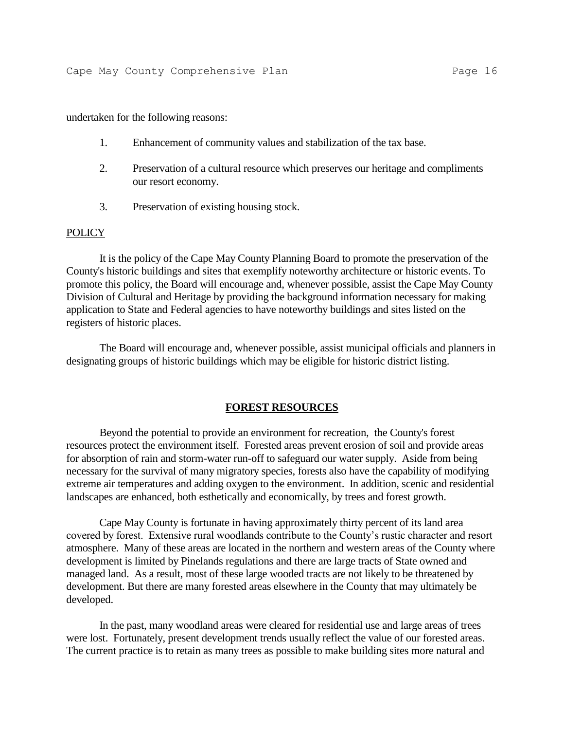undertaken for the following reasons:

- 1. Enhancement of community values and stabilization of the tax base.
- 2. Preservation of a cultural resource which preserves our heritage and compliments our resort economy.
- 3. Preservation of existing housing stock.

## **POLICY**

It is the policy of the Cape May County Planning Board to promote the preservation of the County's historic buildings and sites that exemplify noteworthy architecture or historic events. To promote this policy, the Board will encourage and, whenever possible, assist the Cape May County Division of Cultural and Heritage by providing the background information necessary for making application to State and Federal agencies to have noteworthy buildings and sites listed on the registers of historic places.

The Board will encourage and, whenever possible, assist municipal officials and planners in designating groups of historic buildings which may be eligible for historic district listing.

#### **FOREST RESOURCES**

Beyond the potential to provide an environment for recreation, the County's forest resources protect the environment itself. Forested areas prevent erosion of soil and provide areas for absorption of rain and storm-water run-off to safeguard our water supply. Aside from being necessary for the survival of many migratory species, forests also have the capability of modifying extreme air temperatures and adding oxygen to the environment. In addition, scenic and residential landscapes are enhanced, both esthetically and economically, by trees and forest growth.

Cape May County is fortunate in having approximately thirty percent of its land area covered by forest. Extensive rural woodlands contribute to the County's rustic character and resort atmosphere. Many of these areas are located in the northern and western areas of the County where development is limited by Pinelands regulations and there are large tracts of State owned and managed land. As a result, most of these large wooded tracts are not likely to be threatened by development. But there are many forested areas elsewhere in the County that may ultimately be developed.

In the past, many woodland areas were cleared for residential use and large areas of trees were lost. Fortunately, present development trends usually reflect the value of our forested areas. The current practice is to retain as many trees as possible to make building sites more natural and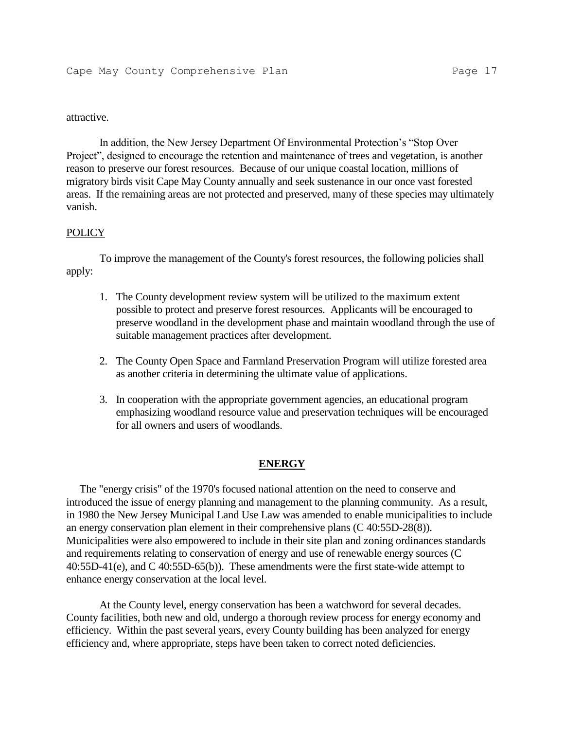## attractive.

In addition, the New Jersey Department Of Environmental Protection's "Stop Over Project", designed to encourage the retention and maintenance of trees and vegetation, is another reason to preserve our forest resources. Because of our unique coastal location, millions of migratory birds visit Cape May County annually and seek sustenance in our once vast forested areas. If the remaining areas are not protected and preserved, many of these species may ultimately vanish.

## **POLICY**

To improve the management of the County's forest resources, the following policies shall apply:

- 1. The County development review system will be utilized to the maximum extent possible to protect and preserve forest resources. Applicants will be encouraged to preserve woodland in the development phase and maintain woodland through the use of suitable management practices after development.
- 2. The County Open Space and Farmland Preservation Program will utilize forested area as another criteria in determining the ultimate value of applications.
- 3. In cooperation with the appropriate government agencies, an educational program emphasizing woodland resource value and preservation techniques will be encouraged for all owners and users of woodlands.

## **ENERGY**

 The "energy crisis" of the 1970's focused national attention on the need to conserve and introduced the issue of energy planning and management to the planning community. As a result, in 1980 the New Jersey Municipal Land Use Law was amended to enable municipalities to include an energy conservation plan element in their comprehensive plans (C 40:55D-28(8)). Municipalities were also empowered to include in their site plan and zoning ordinances standards and requirements relating to conservation of energy and use of renewable energy sources (C 40:55D-41(e), and C 40:55D-65(b)). These amendments were the first state-wide attempt to enhance energy conservation at the local level.

At the County level, energy conservation has been a watchword for several decades. County facilities, both new and old, undergo a thorough review process for energy economy and efficiency. Within the past several years, every County building has been analyzed for energy efficiency and, where appropriate, steps have been taken to correct noted deficiencies.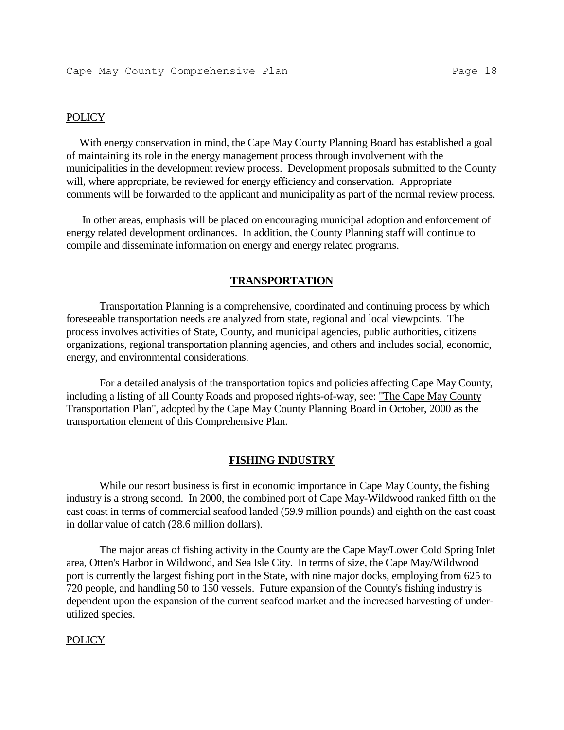#### POLICY

 With energy conservation in mind, the Cape May County Planning Board has established a goal of maintaining its role in the energy management process through involvement with the municipalities in the development review process. Development proposals submitted to the County will, where appropriate, be reviewed for energy efficiency and conservation. Appropriate comments will be forwarded to the applicant and municipality as part of the normal review process.

 In other areas, emphasis will be placed on encouraging municipal adoption and enforcement of energy related development ordinances. In addition, the County Planning staff will continue to compile and disseminate information on energy and energy related programs.

## **TRANSPORTATION**

Transportation Planning is a comprehensive, coordinated and continuing process by which foreseeable transportation needs are analyzed from state, regional and local viewpoints. The process involves activities of State, County, and municipal agencies, public authorities, citizens organizations, regional transportation planning agencies, and others and includes social, economic, energy, and environmental considerations.

For a detailed analysis of the transportation topics and policies affecting Cape May County, including a listing of all County Roads and proposed rights-of-way, see: "The Cape May County Transportation Plan", adopted by the Cape May County Planning Board in October, 2000 as the transportation element of this Comprehensive Plan.

#### **FISHING INDUSTRY**

While our resort business is first in economic importance in Cape May County, the fishing industry is a strong second. In 2000, the combined port of Cape May-Wildwood ranked fifth on the east coast in terms of commercial seafood landed (59.9 million pounds) and eighth on the east coast in dollar value of catch (28.6 million dollars).

The major areas of fishing activity in the County are the Cape May/Lower Cold Spring Inlet area, Otten's Harbor in Wildwood, and Sea Isle City. In terms of size, the Cape May/Wildwood port is currently the largest fishing port in the State, with nine major docks, employing from 625 to 720 people, and handling 50 to 150 vessels. Future expansion of the County's fishing industry is dependent upon the expansion of the current seafood market and the increased harvesting of underutilized species.

#### POLICY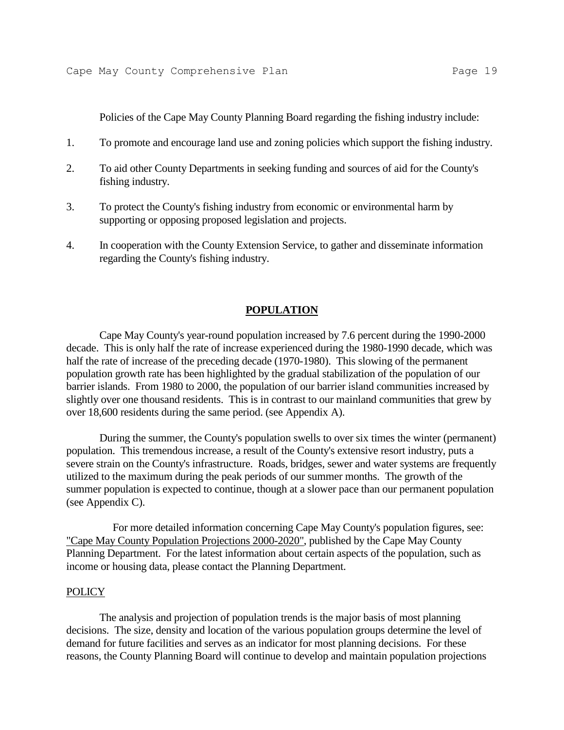Policies of the Cape May County Planning Board regarding the fishing industry include:

- 1. To promote and encourage land use and zoning policies which support the fishing industry.
- 2. To aid other County Departments in seeking funding and sources of aid for the County's fishing industry.
- 3. To protect the County's fishing industry from economic or environmental harm by supporting or opposing proposed legislation and projects.
- 4. In cooperation with the County Extension Service, to gather and disseminate information regarding the County's fishing industry.

## **POPULATION**

Cape May County's year-round population increased by 7.6 percent during the 1990-2000 decade. This is only half the rate of increase experienced during the 1980-1990 decade, which was half the rate of increase of the preceding decade (1970-1980). This slowing of the permanent population growth rate has been highlighted by the gradual stabilization of the population of our barrier islands. From 1980 to 2000, the population of our barrier island communities increased by slightly over one thousand residents. This is in contrast to our mainland communities that grew by over 18,600 residents during the same period. (see Appendix A).

During the summer, the County's population swells to over six times the winter (permanent) population. This tremendous increase, a result of the County's extensive resort industry, puts a severe strain on the County's infrastructure. Roads, bridges, sewer and water systems are frequently utilized to the maximum during the peak periods of our summer months. The growth of the summer population is expected to continue, though at a slower pace than our permanent population (see Appendix C).

 For more detailed information concerning Cape May County's population figures, see: "Cape May County Population Projections 2000-2020", published by the Cape May County Planning Department. For the latest information about certain aspects of the population, such as income or housing data, please contact the Planning Department.

#### **POLICY**

The analysis and projection of population trends is the major basis of most planning decisions. The size, density and location of the various population groups determine the level of demand for future facilities and serves as an indicator for most planning decisions. For these reasons, the County Planning Board will continue to develop and maintain population projections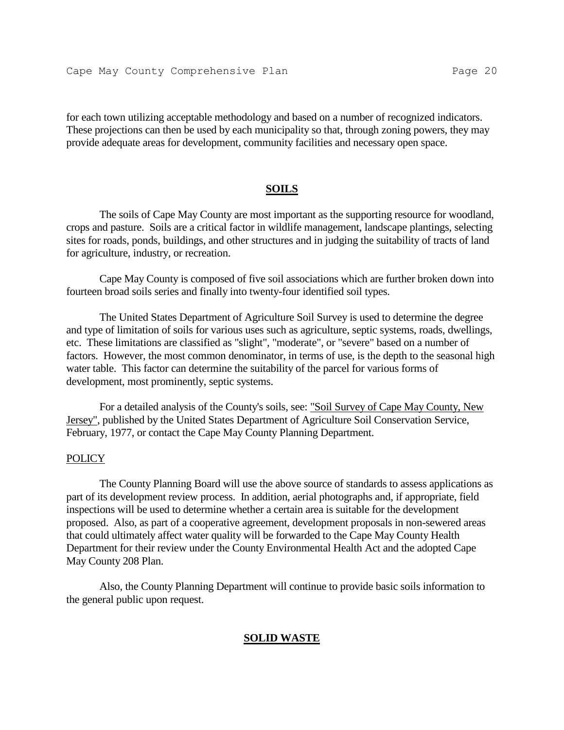for each town utilizing acceptable methodology and based on a number of recognized indicators. These projections can then be used by each municipality so that, through zoning powers, they may provide adequate areas for development, community facilities and necessary open space.

#### **SOILS**

The soils of Cape May County are most important as the supporting resource for woodland, crops and pasture. Soils are a critical factor in wildlife management, landscape plantings, selecting sites for roads, ponds, buildings, and other structures and in judging the suitability of tracts of land for agriculture, industry, or recreation.

Cape May County is composed of five soil associations which are further broken down into fourteen broad soils series and finally into twenty-four identified soil types.

The United States Department of Agriculture Soil Survey is used to determine the degree and type of limitation of soils for various uses such as agriculture, septic systems, roads, dwellings, etc. These limitations are classified as "slight", "moderate", or "severe" based on a number of factors. However, the most common denominator, in terms of use, is the depth to the seasonal high water table. This factor can determine the suitability of the parcel for various forms of development, most prominently, septic systems.

For a detailed analysis of the County's soils, see: "Soil Survey of Cape May County, New Jersey", published by the United States Department of Agriculture Soil Conservation Service, February, 1977, or contact the Cape May County Planning Department.

#### **POLICY**

The County Planning Board will use the above source of standards to assess applications as part of its development review process. In addition, aerial photographs and, if appropriate, field inspections will be used to determine whether a certain area is suitable for the development proposed. Also, as part of a cooperative agreement, development proposals in non-sewered areas that could ultimately affect water quality will be forwarded to the Cape May County Health Department for their review under the County Environmental Health Act and the adopted Cape May County 208 Plan.

Also, the County Planning Department will continue to provide basic soils information to the general public upon request.

## **SOLID WASTE**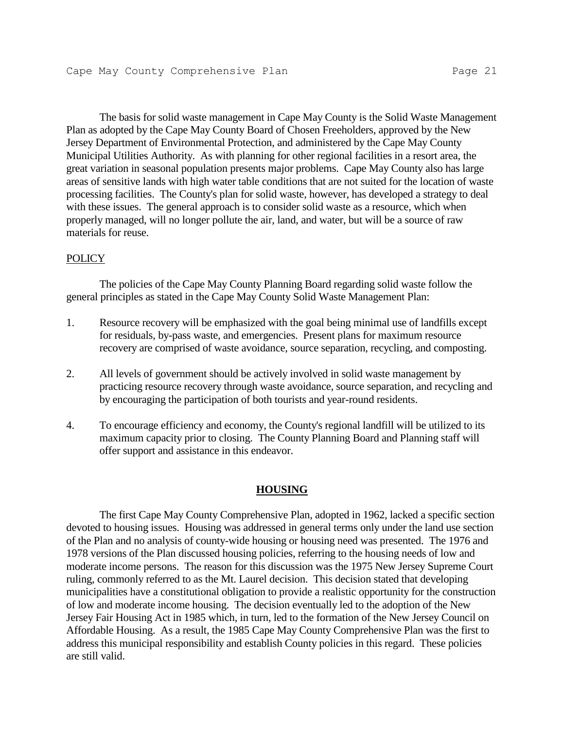The basis for solid waste management in Cape May County is the Solid Waste Management Plan as adopted by the Cape May County Board of Chosen Freeholders, approved by the New Jersey Department of Environmental Protection, and administered by the Cape May County Municipal Utilities Authority. As with planning for other regional facilities in a resort area, the great variation in seasonal population presents major problems. Cape May County also has large areas of sensitive lands with high water table conditions that are not suited for the location of waste processing facilities. The County's plan for solid waste, however, has developed a strategy to deal with these issues. The general approach is to consider solid waste as a resource, which when properly managed, will no longer pollute the air, land, and water, but will be a source of raw materials for reuse.

## **POLICY**

The policies of the Cape May County Planning Board regarding solid waste follow the general principles as stated in the Cape May County Solid Waste Management Plan:

- 1. Resource recovery will be emphasized with the goal being minimal use of landfills except for residuals, by-pass waste, and emergencies. Present plans for maximum resource recovery are comprised of waste avoidance, source separation, recycling, and composting.
- 2. All levels of government should be actively involved in solid waste management by practicing resource recovery through waste avoidance, source separation, and recycling and by encouraging the participation of both tourists and year-round residents.
- 4. To encourage efficiency and economy, the County's regional landfill will be utilized to its maximum capacity prior to closing. The County Planning Board and Planning staff will offer support and assistance in this endeavor.

## **HOUSING**

The first Cape May County Comprehensive Plan, adopted in 1962, lacked a specific section devoted to housing issues. Housing was addressed in general terms only under the land use section of the Plan and no analysis of county-wide housing or housing need was presented. The 1976 and 1978 versions of the Plan discussed housing policies, referring to the housing needs of low and moderate income persons. The reason for this discussion was the 1975 New Jersey Supreme Court ruling, commonly referred to as the Mt. Laurel decision. This decision stated that developing municipalities have a constitutional obligation to provide a realistic opportunity for the construction of low and moderate income housing. The decision eventually led to the adoption of the New Jersey Fair Housing Act in 1985 which, in turn, led to the formation of the New Jersey Council on Affordable Housing. As a result, the 1985 Cape May County Comprehensive Plan was the first to address this municipal responsibility and establish County policies in this regard. These policies are still valid.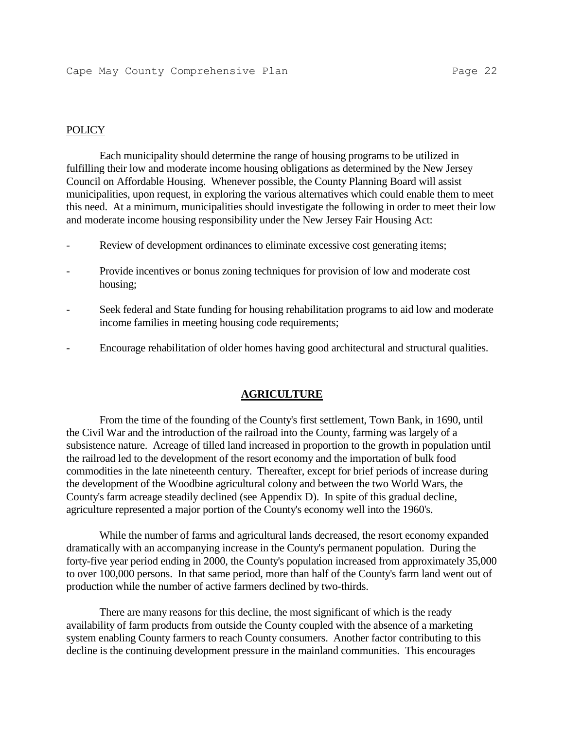#### **POLICY**

Each municipality should determine the range of housing programs to be utilized in fulfilling their low and moderate income housing obligations as determined by the New Jersey Council on Affordable Housing. Whenever possible, the County Planning Board will assist municipalities, upon request, in exploring the various alternatives which could enable them to meet this need. At a minimum, municipalities should investigate the following in order to meet their low and moderate income housing responsibility under the New Jersey Fair Housing Act:

- Review of development ordinances to eliminate excessive cost generating items;
- Provide incentives or bonus zoning techniques for provision of low and moderate cost housing;
- Seek federal and State funding for housing rehabilitation programs to aid low and moderate income families in meeting housing code requirements;
- Encourage rehabilitation of older homes having good architectural and structural qualities.

## **AGRICULTURE**

From the time of the founding of the County's first settlement, Town Bank, in 1690, until the Civil War and the introduction of the railroad into the County, farming was largely of a subsistence nature. Acreage of tilled land increased in proportion to the growth in population until the railroad led to the development of the resort economy and the importation of bulk food commodities in the late nineteenth century. Thereafter, except for brief periods of increase during the development of the Woodbine agricultural colony and between the two World Wars, the County's farm acreage steadily declined (see Appendix D). In spite of this gradual decline, agriculture represented a major portion of the County's economy well into the 1960's.

While the number of farms and agricultural lands decreased, the resort economy expanded dramatically with an accompanying increase in the County's permanent population. During the forty-five year period ending in 2000, the County's population increased from approximately 35,000 to over 100,000 persons. In that same period, more than half of the County's farm land went out of production while the number of active farmers declined by two-thirds.

There are many reasons for this decline, the most significant of which is the ready availability of farm products from outside the County coupled with the absence of a marketing system enabling County farmers to reach County consumers. Another factor contributing to this decline is the continuing development pressure in the mainland communities. This encourages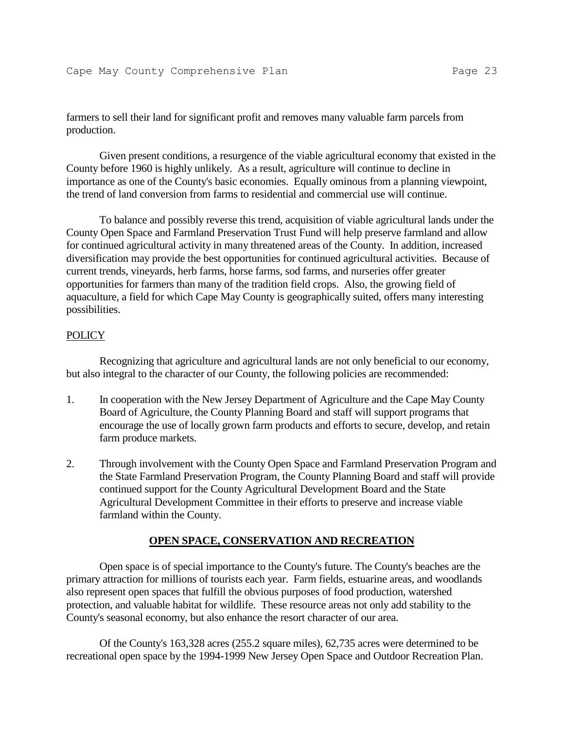farmers to sell their land for significant profit and removes many valuable farm parcels from production.

Given present conditions, a resurgence of the viable agricultural economy that existed in the County before 1960 is highly unlikely. As a result, agriculture will continue to decline in importance as one of the County's basic economies. Equally ominous from a planning viewpoint, the trend of land conversion from farms to residential and commercial use will continue.

To balance and possibly reverse this trend, acquisition of viable agricultural lands under the County Open Space and Farmland Preservation Trust Fund will help preserve farmland and allow for continued agricultural activity in many threatened areas of the County. In addition, increased diversification may provide the best opportunities for continued agricultural activities. Because of current trends, vineyards, herb farms, horse farms, sod farms, and nurseries offer greater opportunities for farmers than many of the tradition field crops. Also, the growing field of aquaculture, a field for which Cape May County is geographically suited, offers many interesting possibilities.

## **POLICY**

Recognizing that agriculture and agricultural lands are not only beneficial to our economy, but also integral to the character of our County, the following policies are recommended:

- 1. In cooperation with the New Jersey Department of Agriculture and the Cape May County Board of Agriculture, the County Planning Board and staff will support programs that encourage the use of locally grown farm products and efforts to secure, develop, and retain farm produce markets.
- 2. Through involvement with the County Open Space and Farmland Preservation Program and the State Farmland Preservation Program, the County Planning Board and staff will provide continued support for the County Agricultural Development Board and the State Agricultural Development Committee in their efforts to preserve and increase viable farmland within the County.

## **OPEN SPACE, CONSERVATION AND RECREATION**

Open space is of special importance to the County's future. The County's beaches are the primary attraction for millions of tourists each year. Farm fields, estuarine areas, and woodlands also represent open spaces that fulfill the obvious purposes of food production, watershed protection, and valuable habitat for wildlife. These resource areas not only add stability to the County's seasonal economy, but also enhance the resort character of our area.

Of the County's 163,328 acres (255.2 square miles), 62,735 acres were determined to be recreational open space by the 1994-1999 New Jersey Open Space and Outdoor Recreation Plan.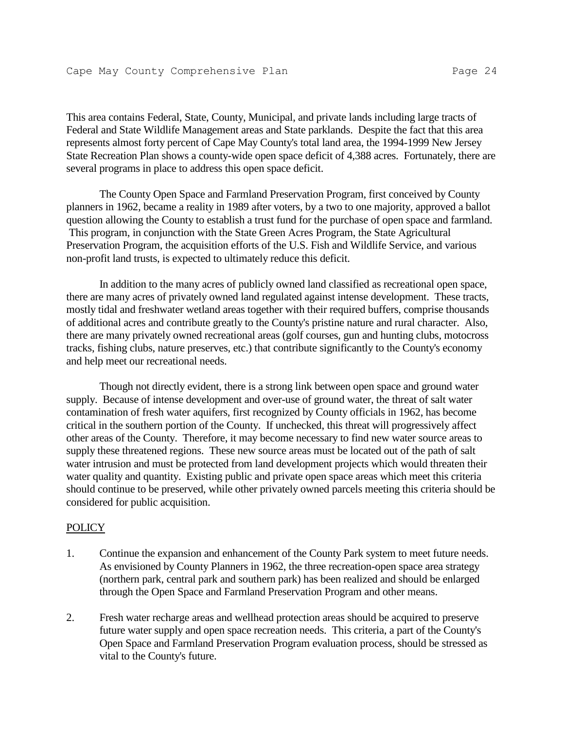This area contains Federal, State, County, Municipal, and private lands including large tracts of Federal and State Wildlife Management areas and State parklands. Despite the fact that this area represents almost forty percent of Cape May County's total land area, the 1994-1999 New Jersey State Recreation Plan shows a county-wide open space deficit of 4,388 acres. Fortunately, there are several programs in place to address this open space deficit.

The County Open Space and Farmland Preservation Program, first conceived by County planners in 1962, became a reality in 1989 after voters, by a two to one majority, approved a ballot question allowing the County to establish a trust fund for the purchase of open space and farmland. This program, in conjunction with the State Green Acres Program, the State Agricultural Preservation Program, the acquisition efforts of the U.S. Fish and Wildlife Service, and various non-profit land trusts, is expected to ultimately reduce this deficit.

In addition to the many acres of publicly owned land classified as recreational open space, there are many acres of privately owned land regulated against intense development. These tracts, mostly tidal and freshwater wetland areas together with their required buffers, comprise thousands of additional acres and contribute greatly to the County's pristine nature and rural character. Also, there are many privately owned recreational areas (golf courses, gun and hunting clubs, motocross tracks, fishing clubs, nature preserves, etc.) that contribute significantly to the County's economy and help meet our recreational needs.

Though not directly evident, there is a strong link between open space and ground water supply. Because of intense development and over-use of ground water, the threat of salt water contamination of fresh water aquifers, first recognized by County officials in 1962, has become critical in the southern portion of the County. If unchecked, this threat will progressively affect other areas of the County. Therefore, it may become necessary to find new water source areas to supply these threatened regions. These new source areas must be located out of the path of salt water intrusion and must be protected from land development projects which would threaten their water quality and quantity. Existing public and private open space areas which meet this criteria should continue to be preserved, while other privately owned parcels meeting this criteria should be considered for public acquisition.

## POLICY

- 1. Continue the expansion and enhancement of the County Park system to meet future needs. As envisioned by County Planners in 1962, the three recreation-open space area strategy (northern park, central park and southern park) has been realized and should be enlarged through the Open Space and Farmland Preservation Program and other means.
- 2. Fresh water recharge areas and wellhead protection areas should be acquired to preserve future water supply and open space recreation needs. This criteria, a part of the County's Open Space and Farmland Preservation Program evaluation process, should be stressed as vital to the County's future.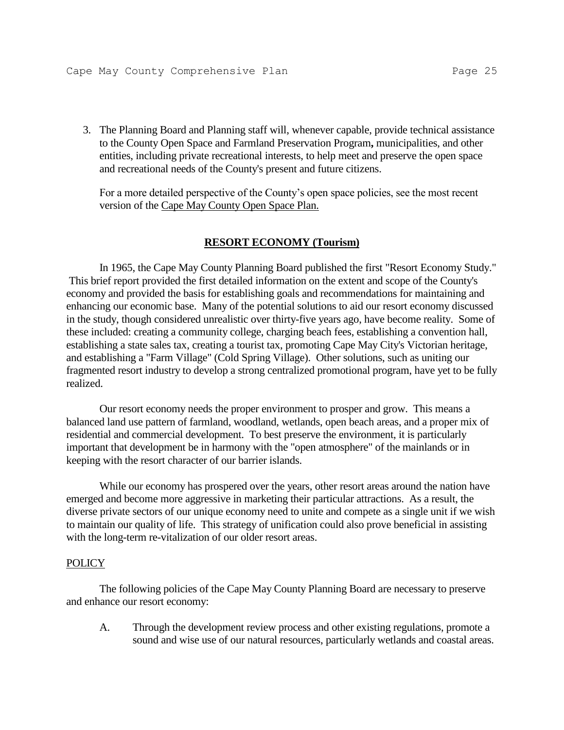3. The Planning Board and Planning staff will, whenever capable, provide technical assistance to the County Open Space and Farmland Preservation Program**,** municipalities, and other entities, including private recreational interests, to help meet and preserve the open space and recreational needs of the County's present and future citizens.

For a more detailed perspective of the County's open space policies, see the most recent version of the Cape May County Open Space Plan.

## **RESORT ECONOMY (Tourism)**

In 1965, the Cape May County Planning Board published the first "Resort Economy Study." This brief report provided the first detailed information on the extent and scope of the County's economy and provided the basis for establishing goals and recommendations for maintaining and enhancing our economic base. Many of the potential solutions to aid our resort economy discussed in the study, though considered unrealistic over thirty-five years ago, have become reality. Some of these included: creating a community college, charging beach fees, establishing a convention hall, establishing a state sales tax, creating a tourist tax, promoting Cape May City's Victorian heritage, and establishing a "Farm Village" (Cold Spring Village). Other solutions, such as uniting our fragmented resort industry to develop a strong centralized promotional program, have yet to be fully realized.

Our resort economy needs the proper environment to prosper and grow. This means a balanced land use pattern of farmland, woodland, wetlands, open beach areas, and a proper mix of residential and commercial development. To best preserve the environment, it is particularly important that development be in harmony with the "open atmosphere" of the mainlands or in keeping with the resort character of our barrier islands.

While our economy has prospered over the years, other resort areas around the nation have emerged and become more aggressive in marketing their particular attractions. As a result, the diverse private sectors of our unique economy need to unite and compete as a single unit if we wish to maintain our quality of life. This strategy of unification could also prove beneficial in assisting with the long-term re-vitalization of our older resort areas.

## **POLICY**

The following policies of the Cape May County Planning Board are necessary to preserve and enhance our resort economy:

A. Through the development review process and other existing regulations, promote a sound and wise use of our natural resources, particularly wetlands and coastal areas.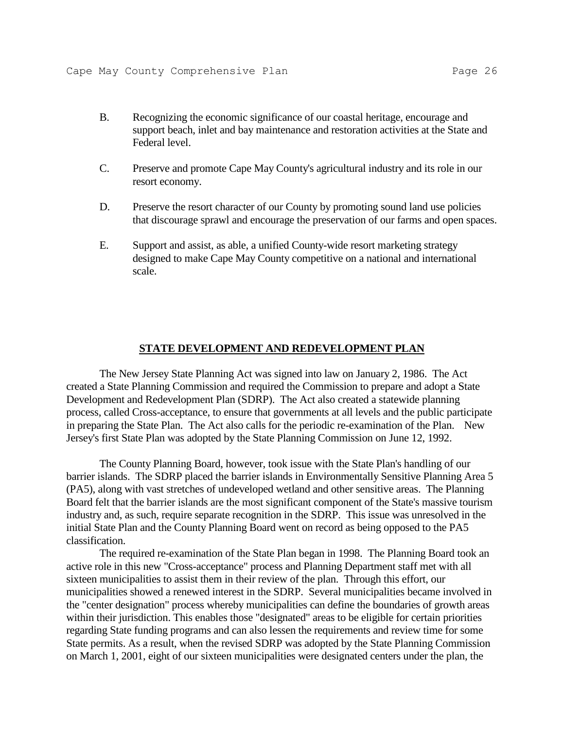- B. Recognizing the economic significance of our coastal heritage, encourage and support beach, inlet and bay maintenance and restoration activities at the State and Federal level.
- C. Preserve and promote Cape May County's agricultural industry and its role in our resort economy.
- D. Preserve the resort character of our County by promoting sound land use policies that discourage sprawl and encourage the preservation of our farms and open spaces.
- E. Support and assist, as able, a unified County-wide resort marketing strategy designed to make Cape May County competitive on a national and international scale.

#### **STATE DEVELOPMENT AND REDEVELOPMENT PLAN**

The New Jersey State Planning Act was signed into law on January 2, 1986. The Act created a State Planning Commission and required the Commission to prepare and adopt a State Development and Redevelopment Plan (SDRP). The Act also created a statewide planning process, called Cross-acceptance, to ensure that governments at all levels and the public participate in preparing the State Plan. The Act also calls for the periodic re-examination of the Plan. New Jersey's first State Plan was adopted by the State Planning Commission on June 12, 1992.

The County Planning Board, however, took issue with the State Plan's handling of our barrier islands. The SDRP placed the barrier islands in Environmentally Sensitive Planning Area 5 (PA5), along with vast stretches of undeveloped wetland and other sensitive areas. The Planning Board felt that the barrier islands are the most significant component of the State's massive tourism industry and, as such, require separate recognition in the SDRP. This issue was unresolved in the initial State Plan and the County Planning Board went on record as being opposed to the PA5 classification.

The required re-examination of the State Plan began in 1998. The Planning Board took an active role in this new "Cross-acceptance" process and Planning Department staff met with all sixteen municipalities to assist them in their review of the plan. Through this effort, our municipalities showed a renewed interest in the SDRP. Several municipalities became involved in the "center designation" process whereby municipalities can define the boundaries of growth areas within their jurisdiction. This enables those "designated" areas to be eligible for certain priorities regarding State funding programs and can also lessen the requirements and review time for some State permits. As a result, when the revised SDRP was adopted by the State Planning Commission on March 1, 2001, eight of our sixteen municipalities were designated centers under the plan, the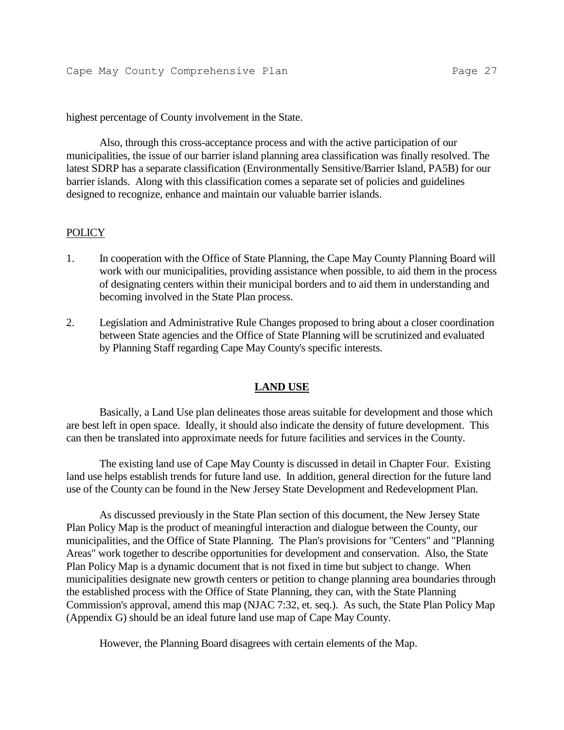highest percentage of County involvement in the State.

Also, through this cross-acceptance process and with the active participation of our municipalities, the issue of our barrier island planning area classification was finally resolved. The latest SDRP has a separate classification (Environmentally Sensitive/Barrier Island, PA5B) for our barrier islands. Along with this classification comes a separate set of policies and guidelines designed to recognize, enhance and maintain our valuable barrier islands.

#### **POLICY**

- 1. In cooperation with the Office of State Planning, the Cape May County Planning Board will work with our municipalities, providing assistance when possible, to aid them in the process of designating centers within their municipal borders and to aid them in understanding and becoming involved in the State Plan process.
- 2. Legislation and Administrative Rule Changes proposed to bring about a closer coordination between State agencies and the Office of State Planning will be scrutinized and evaluated by Planning Staff regarding Cape May County's specific interests.

### **LAND USE**

Basically, a Land Use plan delineates those areas suitable for development and those which are best left in open space. Ideally, it should also indicate the density of future development. This can then be translated into approximate needs for future facilities and services in the County.

The existing land use of Cape May County is discussed in detail in Chapter Four. Existing land use helps establish trends for future land use. In addition, general direction for the future land use of the County can be found in the New Jersey State Development and Redevelopment Plan.

As discussed previously in the State Plan section of this document, the New Jersey State Plan Policy Map is the product of meaningful interaction and dialogue between the County, our municipalities, and the Office of State Planning. The Plan's provisions for "Centers" and "Planning Areas" work together to describe opportunities for development and conservation. Also, the State Plan Policy Map is a dynamic document that is not fixed in time but subject to change. When municipalities designate new growth centers or petition to change planning area boundaries through the established process with the Office of State Planning, they can, with the State Planning Commission's approval, amend this map (NJAC 7:32, et. seq.). As such, the State Plan Policy Map (Appendix G) should be an ideal future land use map of Cape May County.

However, the Planning Board disagrees with certain elements of the Map.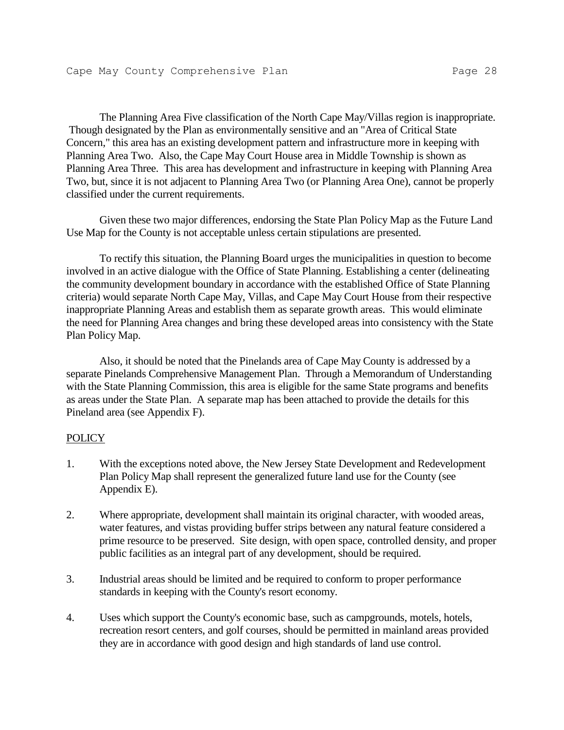The Planning Area Five classification of the North Cape May/Villas region is inappropriate. Though designated by the Plan as environmentally sensitive and an "Area of Critical State Concern," this area has an existing development pattern and infrastructure more in keeping with Planning Area Two. Also, the Cape May Court House area in Middle Township is shown as Planning Area Three. This area has development and infrastructure in keeping with Planning Area Two, but, since it is not adjacent to Planning Area Two (or Planning Area One), cannot be properly classified under the current requirements.

Given these two major differences, endorsing the State Plan Policy Map as the Future Land Use Map for the County is not acceptable unless certain stipulations are presented.

To rectify this situation, the Planning Board urges the municipalities in question to become involved in an active dialogue with the Office of State Planning. Establishing a center (delineating the community development boundary in accordance with the established Office of State Planning criteria) would separate North Cape May, Villas, and Cape May Court House from their respective inappropriate Planning Areas and establish them as separate growth areas. This would eliminate the need for Planning Area changes and bring these developed areas into consistency with the State Plan Policy Map.

Also, it should be noted that the Pinelands area of Cape May County is addressed by a separate Pinelands Comprehensive Management Plan. Through a Memorandum of Understanding with the State Planning Commission, this area is eligible for the same State programs and benefits as areas under the State Plan. A separate map has been attached to provide the details for this Pineland area (see Appendix F).

## **POLICY**

- 1. With the exceptions noted above, the New Jersey State Development and Redevelopment Plan Policy Map shall represent the generalized future land use for the County (see Appendix E).
- 2. Where appropriate, development shall maintain its original character, with wooded areas, water features, and vistas providing buffer strips between any natural feature considered a prime resource to be preserved. Site design, with open space, controlled density, and proper public facilities as an integral part of any development, should be required.
- 3. Industrial areas should be limited and be required to conform to proper performance standards in keeping with the County's resort economy.
- 4. Uses which support the County's economic base, such as campgrounds, motels, hotels, recreation resort centers, and golf courses, should be permitted in mainland areas provided they are in accordance with good design and high standards of land use control.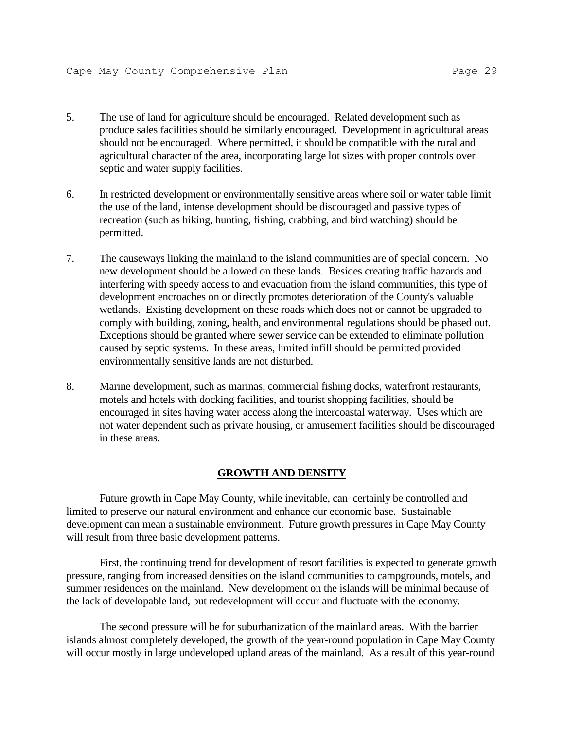- 5. The use of land for agriculture should be encouraged. Related development such as produce sales facilities should be similarly encouraged. Development in agricultural areas should not be encouraged. Where permitted, it should be compatible with the rural and agricultural character of the area, incorporating large lot sizes with proper controls over septic and water supply facilities.
- 6. In restricted development or environmentally sensitive areas where soil or water table limit the use of the land, intense development should be discouraged and passive types of recreation (such as hiking, hunting, fishing, crabbing, and bird watching) should be permitted.
- 7. The causeways linking the mainland to the island communities are of special concern. No new development should be allowed on these lands. Besides creating traffic hazards and interfering with speedy access to and evacuation from the island communities, this type of development encroaches on or directly promotes deterioration of the County's valuable wetlands. Existing development on these roads which does not or cannot be upgraded to comply with building, zoning, health, and environmental regulations should be phased out. Exceptions should be granted where sewer service can be extended to eliminate pollution caused by septic systems. In these areas, limited infill should be permitted provided environmentally sensitive lands are not disturbed.
- 8. Marine development, such as marinas, commercial fishing docks, waterfront restaurants, motels and hotels with docking facilities, and tourist shopping facilities, should be encouraged in sites having water access along the intercoastal waterway. Uses which are not water dependent such as private housing, or amusement facilities should be discouraged in these areas.

## **GROWTH AND DENSITY**

Future growth in Cape May County, while inevitable, can certainly be controlled and limited to preserve our natural environment and enhance our economic base. Sustainable development can mean a sustainable environment. Future growth pressures in Cape May County will result from three basic development patterns.

First, the continuing trend for development of resort facilities is expected to generate growth pressure, ranging from increased densities on the island communities to campgrounds, motels, and summer residences on the mainland. New development on the islands will be minimal because of the lack of developable land, but redevelopment will occur and fluctuate with the economy.

The second pressure will be for suburbanization of the mainland areas. With the barrier islands almost completely developed, the growth of the year-round population in Cape May County will occur mostly in large undeveloped upland areas of the mainland. As a result of this year-round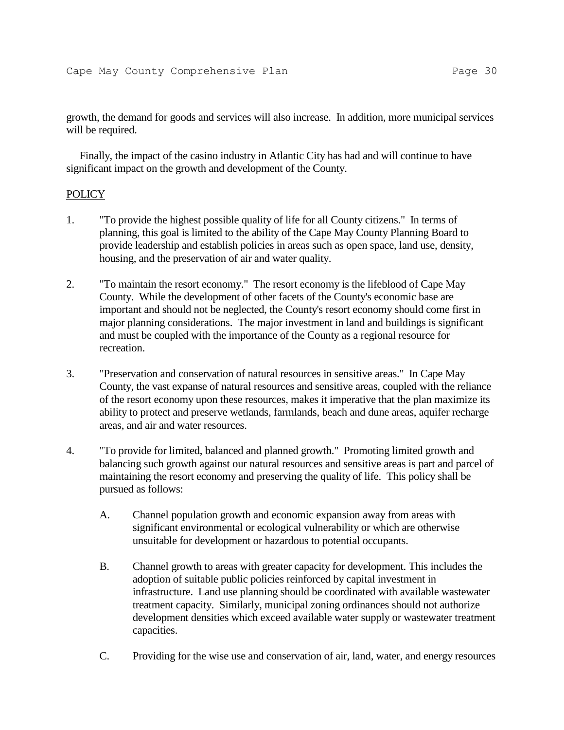growth, the demand for goods and services will also increase. In addition, more municipal services

 Finally, the impact of the casino industry in Atlantic City has had and will continue to have significant impact on the growth and development of the County.

## **POLICY**

will be required.

- 1. "To provide the highest possible quality of life for all County citizens." In terms of planning, this goal is limited to the ability of the Cape May County Planning Board to provide leadership and establish policies in areas such as open space, land use, density, housing, and the preservation of air and water quality.
- 2. "To maintain the resort economy." The resort economy is the lifeblood of Cape May County. While the development of other facets of the County's economic base are important and should not be neglected, the County's resort economy should come first in major planning considerations. The major investment in land and buildings is significant and must be coupled with the importance of the County as a regional resource for recreation.
- 3. "Preservation and conservation of natural resources in sensitive areas." In Cape May County, the vast expanse of natural resources and sensitive areas, coupled with the reliance of the resort economy upon these resources, makes it imperative that the plan maximize its ability to protect and preserve wetlands, farmlands, beach and dune areas, aquifer recharge areas, and air and water resources.
- 4. "To provide for limited, balanced and planned growth." Promoting limited growth and balancing such growth against our natural resources and sensitive areas is part and parcel of maintaining the resort economy and preserving the quality of life. This policy shall be pursued as follows:
	- A. Channel population growth and economic expansion away from areas with significant environmental or ecological vulnerability or which are otherwise unsuitable for development or hazardous to potential occupants.
	- B. Channel growth to areas with greater capacity for development. This includes the adoption of suitable public policies reinforced by capital investment in infrastructure. Land use planning should be coordinated with available wastewater treatment capacity. Similarly, municipal zoning ordinances should not authorize development densities which exceed available water supply or wastewater treatment capacities.
	- C. Providing for the wise use and conservation of air, land, water, and energy resources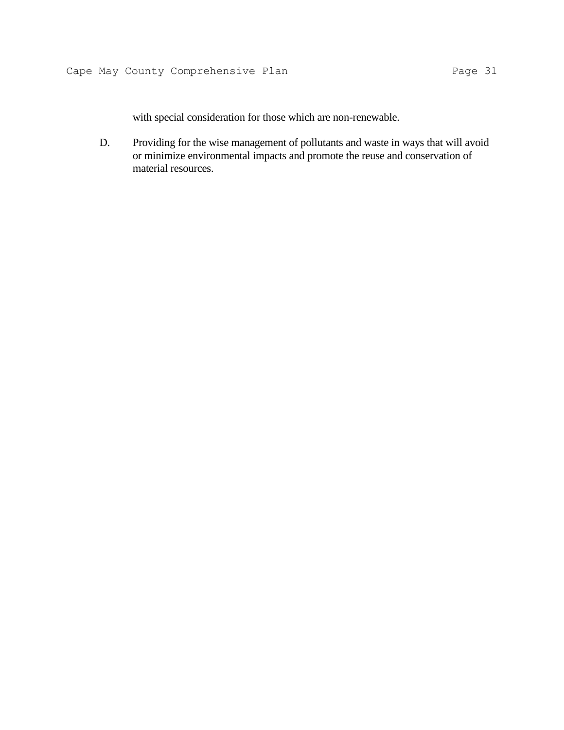with special consideration for those which are non-renewable.

D. Providing for the wise management of pollutants and waste in ways that will avoid or minimize environmental impacts and promote the reuse and conservation of material resources.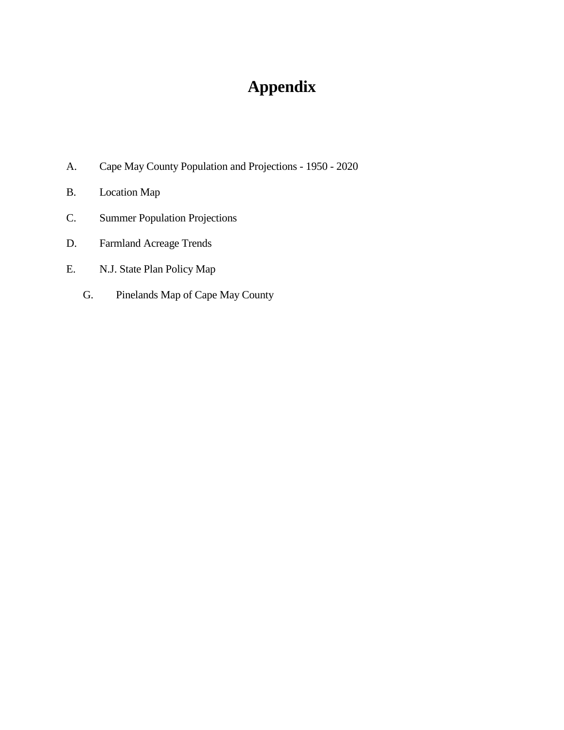# **Appendix**

- A. Cape May County Population and Projections 1950 2020
- B. Location Map
- C. Summer Population Projections
- D. Farmland Acreage Trends
- E. N.J. State Plan Policy Map
	- G. Pinelands Map of Cape May County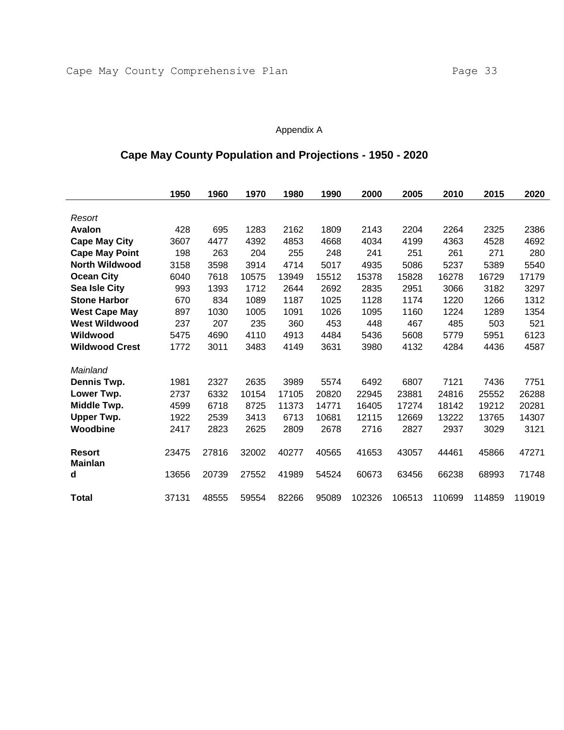## Appendix A

## **Cape May County Population and Projections - 1950 - 2020**

|                                 | 1950  | 1960  | 1970  | 1980  | 1990  | 2000   | 2005   | 2010   | 2015   | 2020   |
|---------------------------------|-------|-------|-------|-------|-------|--------|--------|--------|--------|--------|
|                                 |       |       |       |       |       |        |        |        |        |        |
| Resort                          |       |       |       |       |       |        |        |        |        |        |
| <b>Avalon</b>                   | 428   | 695   | 1283  | 2162  | 1809  | 2143   | 2204   | 2264   | 2325   | 2386   |
| <b>Cape May City</b>            | 3607  | 4477  | 4392  | 4853  | 4668  | 4034   | 4199   | 4363   | 4528   | 4692   |
| <b>Cape May Point</b>           | 198   | 263   | 204   | 255   | 248   | 241    | 251    | 261    | 271    | 280    |
| <b>North Wildwood</b>           | 3158  | 3598  | 3914  | 4714  | 5017  | 4935   | 5086   | 5237   | 5389   | 5540   |
| <b>Ocean City</b>               | 6040  | 7618  | 10575 | 13949 | 15512 | 15378  | 15828  | 16278  | 16729  | 17179  |
| Sea Isle City                   | 993   | 1393  | 1712  | 2644  | 2692  | 2835   | 2951   | 3066   | 3182   | 3297   |
| <b>Stone Harbor</b>             | 670   | 834   | 1089  | 1187  | 1025  | 1128   | 1174   | 1220   | 1266   | 1312   |
| <b>West Cape May</b>            | 897   | 1030  | 1005  | 1091  | 1026  | 1095   | 1160   | 1224   | 1289   | 1354   |
| <b>West Wildwood</b>            | 237   | 207   | 235   | 360   | 453   | 448    | 467    | 485    | 503    | 521    |
| Wildwood                        | 5475  | 4690  | 4110  | 4913  | 4484  | 5436   | 5608   | 5779   | 5951   | 6123   |
| <b>Wildwood Crest</b>           | 1772  | 3011  | 3483  | 4149  | 3631  | 3980   | 4132   | 4284   | 4436   | 4587   |
| Mainland                        |       |       |       |       |       |        |        |        |        |        |
| Dennis Twp.                     | 1981  | 2327  | 2635  | 3989  | 5574  | 6492   | 6807   | 7121   | 7436   | 7751   |
| Lower Twp.                      | 2737  | 6332  | 10154 | 17105 | 20820 | 22945  | 23881  | 24816  | 25552  | 26288  |
| Middle Twp.                     | 4599  | 6718  | 8725  | 11373 | 14771 | 16405  | 17274  | 18142  | 19212  | 20281  |
| <b>Upper Twp.</b>               | 1922  | 2539  | 3413  | 6713  | 10681 | 12115  | 12669  | 13222  | 13765  | 14307  |
| Woodbine                        | 2417  | 2823  | 2625  | 2809  | 2678  | 2716   | 2827   | 2937   | 3029   | 3121   |
| <b>Resort</b><br><b>Mainlan</b> | 23475 | 27816 | 32002 | 40277 | 40565 | 41653  | 43057  | 44461  | 45866  | 47271  |
| d                               | 13656 | 20739 | 27552 | 41989 | 54524 | 60673  | 63456  | 66238  | 68993  | 71748  |
| Total                           | 37131 | 48555 | 59554 | 82266 | 95089 | 102326 | 106513 | 110699 | 114859 | 119019 |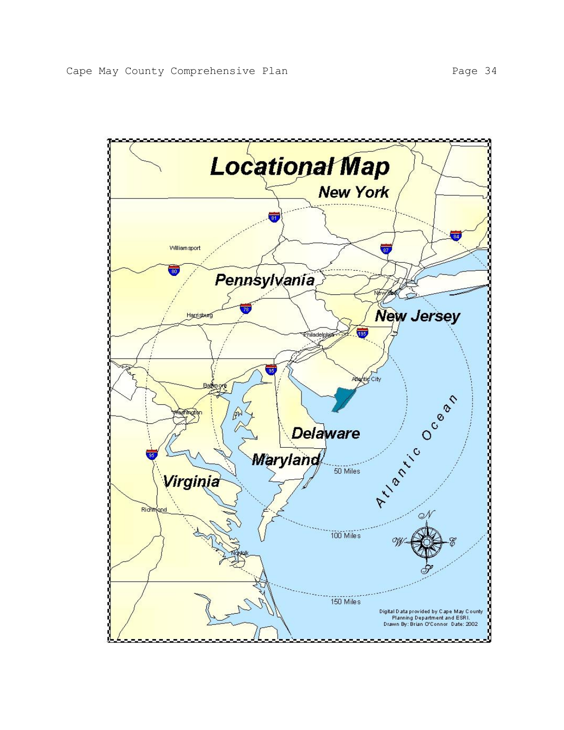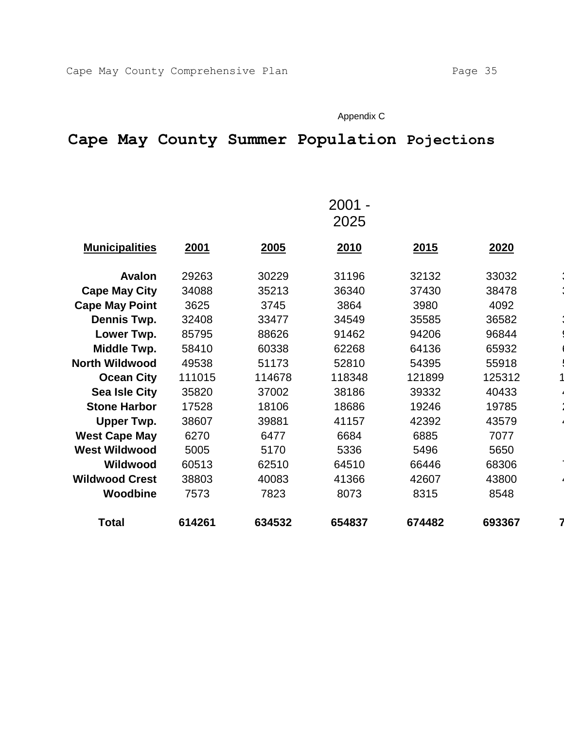# **Cape May County Summer Population Pojections**

|                       |        |             | 2001 -<br>2025 |             |        |  |
|-----------------------|--------|-------------|----------------|-------------|--------|--|
| <b>Municipalities</b> | 2001   | <b>2005</b> | <u>2010</u>    | <u>2015</u> | 2020   |  |
| <b>Avalon</b>         | 29263  | 30229       | 31196          | 32132       | 33032  |  |
| <b>Cape May City</b>  | 34088  | 35213       | 36340          | 37430       | 38478  |  |
| <b>Cape May Point</b> | 3625   | 3745        | 3864           | 3980        | 4092   |  |
| Dennis Twp.           | 32408  | 33477       | 34549          | 35585       | 36582  |  |
| Lower Twp.            | 85795  | 88626       | 91462          | 94206       | 96844  |  |
| Middle Twp.           | 58410  | 60338       | 62268          | 64136       | 65932  |  |
| <b>North Wildwood</b> | 49538  | 51173       | 52810          | 54395       | 55918  |  |
| <b>Ocean City</b>     | 111015 | 114678      | 118348         | 121899      | 125312 |  |
| <b>Sea Isle City</b>  | 35820  | 37002       | 38186          | 39332       | 40433  |  |
| <b>Stone Harbor</b>   | 17528  | 18106       | 18686          | 19246       | 19785  |  |
| <b>Upper Twp.</b>     | 38607  | 39881       | 41157          | 42392       | 43579  |  |
| <b>West Cape May</b>  | 6270   | 6477        | 6684           | 6885        | 7077   |  |
| <b>West Wildwood</b>  | 5005   | 5170        | 5336           | 5496        | 5650   |  |
| Wildwood              | 60513  | 62510       | 64510          | 66446       | 68306  |  |
| <b>Wildwood Crest</b> | 38803  | 40083       | 41366          | 42607       | 43800  |  |
| Woodbine              | 7573   | 7823        | 8073           | 8315        | 8548   |  |
| Total                 | 614261 | 634532      | 654837         | 674482      | 693367 |  |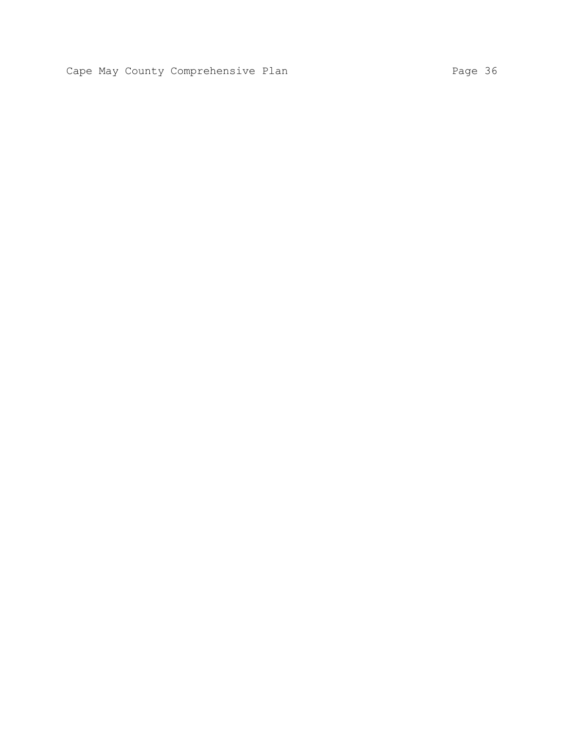Cape May County Comprehensive Plan entitled and Page 36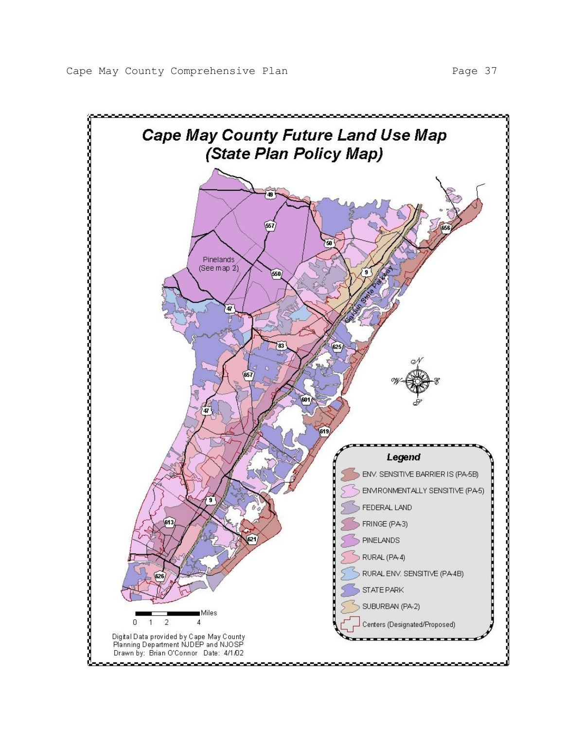

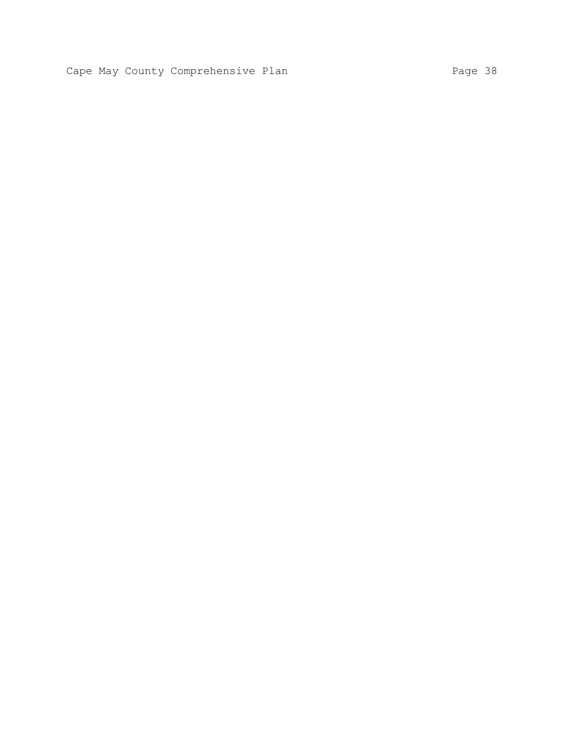Cape May County Comprehensive Plan entitled and Page 38